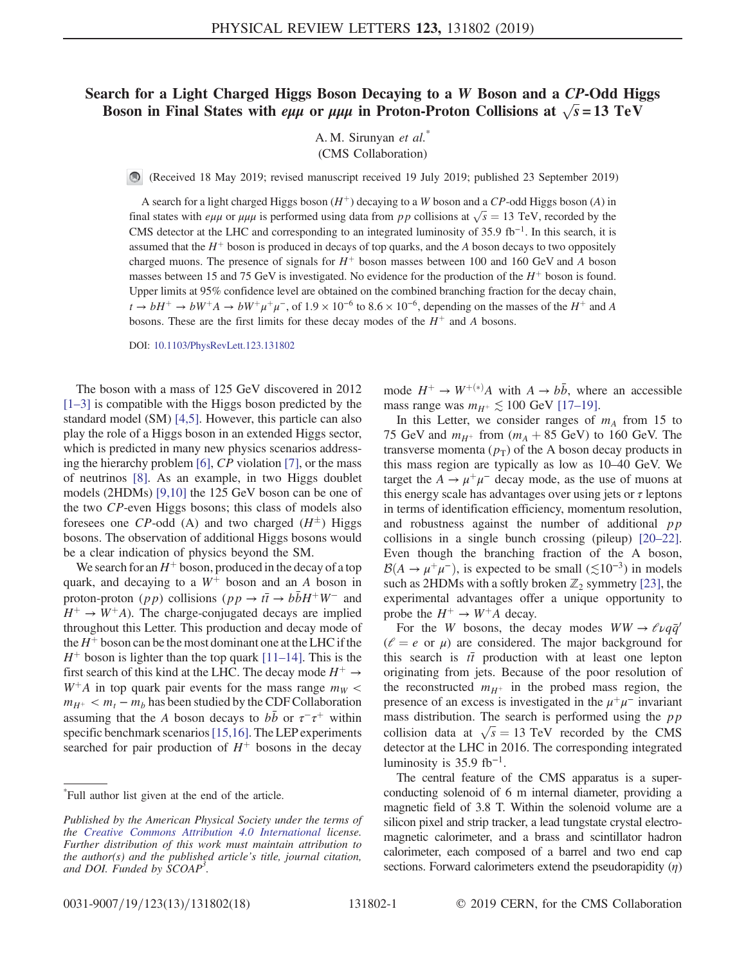## Search for a Light Charged Higgs Boson Decaying to a W Boson and a CP-Odd Higgs Boson in Final States with *e*<sub>μμ</sub> or  $\mu$ μμ in Proton-Proton Collisions at  $\sqrt{s} = 13$  TeV

A. M. Sirunyan et al.<sup>\*</sup> (CMS Collaboration)

(Received 18 May 2019; revised manuscript received 19 July 2019; published 23 September 2019)

A search for a light charged Higgs boson  $(H^+)$  decaying to a W boson and a CP-odd Higgs boson (A) in final states with  $e\mu\mu$  or  $\mu\mu\mu$  is performed using data from pp collisions at  $\sqrt{s} = 13$  TeV, recorded by the CMS detector at the LHC and corresponding to an integrated luminosity of 35.9 fb<sup>-1</sup>. In this search, it is assumed that the  $H^+$  boson is produced in decays of top quarks, and the A boson decays to two oppositely charged muons. The presence of signals for  $H^+$  boson masses between 100 and 160 GeV and A boson masses between 15 and 75 GeV is investigated. No evidence for the production of the  $H^+$  boson is found. Upper limits at 95% confidence level are obtained on the combined branching fraction for the decay chain,  $t \to bH^+ \to bW^+A \to bW^+\mu^+\mu^-$ , of  $1.9 \times 10^{-6}$  to  $8.6 \times 10^{-6}$ , depending on the masses of the  $H^+$  and A bosons. These are the first limits for these decay modes of the  $H^+$  and A bosons.

DOI: [10.1103/PhysRevLett.123.131802](https://doi.org/10.1103/PhysRevLett.123.131802)

The boson with a mass of 125 GeV discovered in 2012 [\[1](#page-4-0)–3] is compatible with the Higgs boson predicted by the standard model (SM) [\[4,5\]](#page-4-1). However, this particle can also play the role of a Higgs boson in an extended Higgs sector, which is predicted in many new physics scenarios addressing the hierarchy problem [\[6\],](#page-4-2) CP violation [\[7\]](#page-4-3), or the mass of neutrinos [\[8\]](#page-4-4). As an example, in two Higgs doublet models (2HDMs) [\[9,10\]](#page-4-5) the 125 GeV boson can be one of the two CP-even Higgs bosons; this class of models also foresees one CP-odd (A) and two charged  $(H^{\pm})$  Higgs bosons. The observation of additional Higgs bosons would be a clear indication of physics beyond the SM.

We search for an  $H^+$  boson, produced in the decay of a top quark, and decaying to a  $W^+$  boson and an A boson in proton-proton (pp) collisions (pp  $\rightarrow t\bar{t} \rightarrow b\bar{b}H^{+}W^{-}$  and  $H^+ \rightarrow W^+ A$ ). The charge-conjugated decays are implied throughout this Letter. This production and decay mode of the  $H^+$  boson can be the most dominant one at the LHC if the  $H^+$  boson is lighter than the top quark [\[11](#page-4-6)–14]. This is the first search of this kind at the LHC. The decay mode  $H^+ \rightarrow$  $W^+A$  in top quark pair events for the mass range  $m_W <$  $m_{H^+} < m_t - m_b$  has been studied by the CDF Collaboration assuming that the A boson decays to  $b\bar{b}$  or  $\tau^-\tau^+$  within specific benchmark scenarios [\[15,16\]](#page-5-0). The LEP experiments searched for pair production of  $H^+$  bosons in the decay mode  $H^+ \rightarrow W^{+(*)}A$  with  $A \rightarrow b\bar{b}$ , where an accessible mass range was  $m_{H^+} \lesssim 100$  GeV [17–[19\].](#page-5-1)

In this Letter, we consider ranges of  $m_A$  from 15 to 75 GeV and  $m_{H^+}$  from  $(m_A + 85 \text{ GeV})$  to 160 GeV. The transverse momenta  $(p_T)$  of the A boson decay products in this mass region are typically as low as 10–40 GeV. We target the  $A \rightarrow \mu^+\mu^-$  decay mode, as the use of muons at this energy scale has advantages over using jets or  $\tau$  leptons in terms of identification efficiency, momentum resolution, and robustness against the number of additional  $pp$ collisions in a single bunch crossing (pileup) [\[20](#page-5-2)–22]. Even though the branching fraction of the A boson,  $B(A \rightarrow \mu^+\mu^-)$ , is expected to be small ( $\leq 10^{-3}$ ) in models such as 2HDMs with a softly broken  $\mathbb{Z}_2$  symmetry [\[23\]](#page-5-3), the experimental advantages offer a unique opportunity to probe the  $H^+ \rightarrow W^+A$  decay.

For the W bosons, the decay modes  $WW \rightarrow \ell \nu q \bar{q}$  $(\ell = e \text{ or } \mu)$  are considered. The major background for this search is  $t\bar{t}$  production with at least one lepton originating from jets. Because of the poor resolution of the reconstructed  $m_{H^+}$  in the probed mass region, the presence of an excess is investigated in the  $\mu^+\mu^-$  invariant mass distribution. The search is performed using the  $pp$ collision data at  $\sqrt{s} = 13$  TeV recorded by the CMS detector at the LHC in 2016. The corresponding integrated luminosity is  $35.9$  fb<sup>-1</sup>.

The central feature of the CMS apparatus is a superconducting solenoid of 6 m internal diameter, providing a magnetic field of 3.8 T. Within the solenoid volume are a silicon pixel and strip tracker, a lead tungstate crystal electromagnetic calorimeter, and a brass and scintillator hadron calorimeter, each composed of a barrel and two end cap sections. Forward calorimeters extend the pseudorapidity  $(\eta)$ 

<sup>\*</sup> Full author list given at the end of the article.

Published by the American Physical Society under the terms of the [Creative Commons Attribution 4.0 International](https://creativecommons.org/licenses/by/4.0/) license. Further distribution of this work must maintain attribution to the author(s) and the published article's title, journal citation, and DOI. Funded by SCOAP<sup>3</sup>.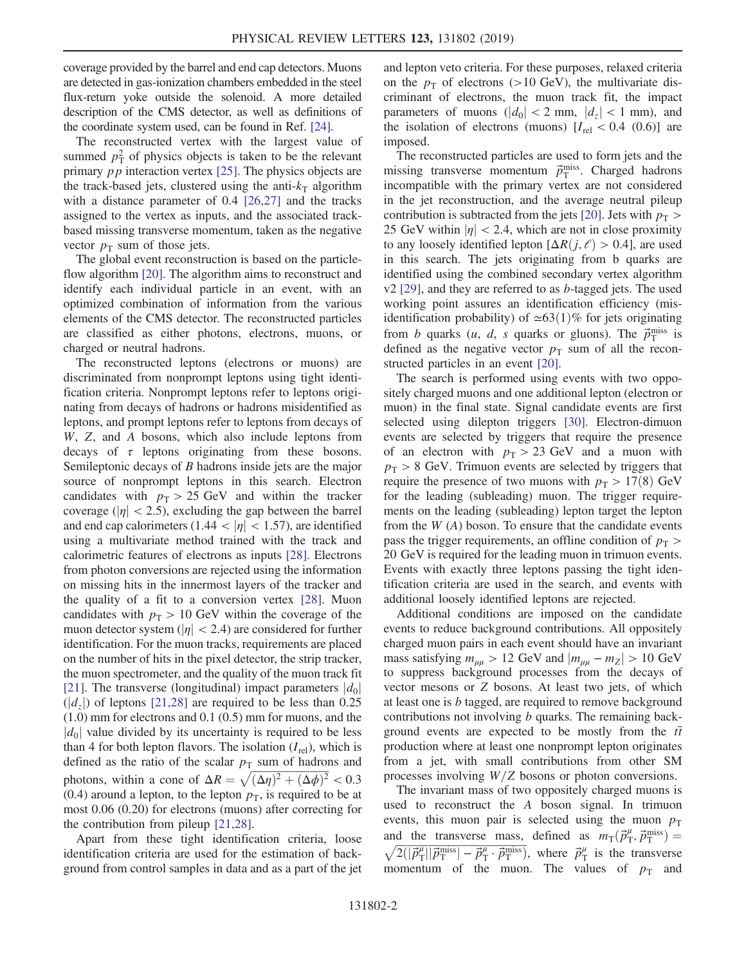coverage provided by the barrel and end cap detectors. Muons are detected in gas-ionization chambers embedded in the steel flux-return yoke outside the solenoid. A more detailed description of the CMS detector, as well as definitions of the coordinate system used, can be found in Ref. [\[24\]](#page-5-4).

The reconstructed vertex with the largest value of summed  $p_T^2$  of physics objects is taken to be the relevant primary  $pp$  interaction vertex [\[25\].](#page-5-5) The physics objects are the track-based jets, clustered using the anti- $k<sub>T</sub>$  algorithm with a distance parameter of 0.4 [\[26,27\]](#page-5-6) and the tracks assigned to the vertex as inputs, and the associated trackbased missing transverse momentum, taken as the negative vector  $p_T$  sum of those jets.

The global event reconstruction is based on the particleflow algorithm [\[20\].](#page-5-2) The algorithm aims to reconstruct and identify each individual particle in an event, with an optimized combination of information from the various elements of the CMS detector. The reconstructed particles are classified as either photons, electrons, muons, or charged or neutral hadrons.

The reconstructed leptons (electrons or muons) are discriminated from nonprompt leptons using tight identification criteria. Nonprompt leptons refer to leptons originating from decays of hadrons or hadrons misidentified as leptons, and prompt leptons refer to leptons from decays of W, Z, and A bosons, which also include leptons from decays of  $\tau$  leptons originating from these bosons. Semileptonic decays of B hadrons inside jets are the major source of nonprompt leptons in this search. Electron candidates with  $p_T > 25$  GeV and within the tracker coverage ( $|\eta|$  < 2.5), excluding the gap between the barrel and end cap calorimeters (1.44  $<$  | $\eta$ |  $<$  1.57), are identified using a multivariate method trained with the track and calorimetric features of electrons as inputs [\[28\].](#page-5-7) Electrons from photon conversions are rejected using the information on missing hits in the innermost layers of the tracker and the quality of a fit to a conversion vertex [\[28\]](#page-5-7). Muon candidates with  $p_T > 10$  GeV within the coverage of the muon detector system ( $|\eta|$  < 2.4) are considered for further identification. For the muon tracks, requirements are placed on the number of hits in the pixel detector, the strip tracker, the muon spectrometer, and the quality of the muon track fit [\[21\]](#page-5-8). The transverse (longitudinal) impact parameters  $|d_0|$  $(|d_z|)$  of leptons [\[21,28\]](#page-5-8) are required to be less than 0.25 (1.0) mm for electrons and 0.1 (0.5) mm for muons, and the  $|d_0|$  value divided by its uncertainty is required to be less than 4 for both lepton flavors. The isolation  $(I_{rel})$ , which is defined as the ratio of the scalar  $p<sub>T</sub>$  sum of hadrons and photons, within a cone of  $\Delta R = \sqrt{(\Delta \eta)^2 + (\Delta \phi)^2} < 0.3$ (0.4) around a lepton, to the lepton  $p<sub>T</sub>$ , is required to be at most 0.06 (0.20) for electrons (muons) after correcting for the contribution from pileup [\[21,28\]](#page-5-8).

Apart from these tight identification criteria, loose identification criteria are used for the estimation of background from control samples in data and as a part of the jet and lepton veto criteria. For these purposes, relaxed criteria on the  $p_T$  of electrons (>10 GeV), the multivariate discriminant of electrons, the muon track fit, the impact parameters of muons  $(|d_0| < 2$  mm,  $|d_z| < 1$  mm), and the isolation of electrons (muons)  $[I_{rel} < 0.4 (0.6)]$  are imposed.

The reconstructed particles are used to form jets and the missing transverse momentum  $\vec{p}_{\text{T}}^{\text{miss}}$ . Charged hadrons incompatible with the primary vertex are not considered in the jet reconstruction, and the average neutral pileup contribution is subtracted from the jets [\[20\].](#page-5-2) Jets with  $p_T >$ 25 GeV within  $|\eta|$  < 2.4, which are not in close proximity to any loosely identified lepton  $[\Delta R(j, \ell) > 0.4]$ , are used in this search. The jets originating from b quarks are identified using the combined secondary vertex algorithm  $v2$  [\[29\],](#page-5-9) and they are referred to as *b*-tagged jets. The used working point assures an identification efficiency (misidentification probability) of  $\simeq 63(1)\%$  for jets originating from *b* quarks  $(u, d, s$  quarks or gluons). The  $\vec{p}_{\text{T}}^{\text{miss}}$  is defined as the negative vector  $p<sub>T</sub>$  sum of all the reconstructed particles in an event [\[20\]](#page-5-2).

The search is performed using events with two oppositely charged muons and one additional lepton (electron or muon) in the final state. Signal candidate events are first selected using dilepton triggers [\[30\]](#page-5-10). Electron-dimuon events are selected by triggers that require the presence of an electron with  $p_T > 23$  GeV and a muon with  $p_T > 8$  GeV. Trimuon events are selected by triggers that require the presence of two muons with  $p_T > 17(8)$  GeV for the leading (subleading) muon. The trigger requirements on the leading (subleading) lepton target the lepton from the  $W(A)$  boson. To ensure that the candidate events pass the trigger requirements, an offline condition of  $p<sub>T</sub>$ 20 GeV is required for the leading muon in trimuon events. Events with exactly three leptons passing the tight identification criteria are used in the search, and events with additional loosely identified leptons are rejected.

Additional conditions are imposed on the candidate events to reduce background contributions. All oppositely charged muon pairs in each event should have an invariant mass satisfying  $m_{uu} > 12$  GeV and  $|m_{uu} - m_Z| > 10$  GeV to suppress background processes from the decays of vector mesons or Z bosons. At least two jets, of which at least one is b tagged, are required to remove background contributions not involving *b* quarks. The remaining background events are expected to be mostly from the  $t\bar{t}$ production where at least one nonprompt lepton originates from a jet, with small contributions from other SM processes involving  $W/Z$  bosons or photon conversions.

The invariant mass of two oppositely charged muons is used to reconstruct the A boson signal. In trimuon events, this muon pair is selected using the muon  $p<sub>T</sub>$ and the transverse mass, defined as  $m_T(\vec{p}_T^{\mu}, \vec{p}_T^{\text{miss}})$ and the transverse mass, defined as  $m_T(p_T, p_T^{\text{max}}) =$ <br> $\sqrt{2(|\vec{p}_T^{\mu}| |\vec{p}_T^{\text{miss}}| - \vec{p}_T^{\mu} \cdot \vec{p}_T^{\text{miss}})}$ , where  $\vec{p}_T^{\mu}$  is the transverse momentum of the muon. The values of  $p_T$  and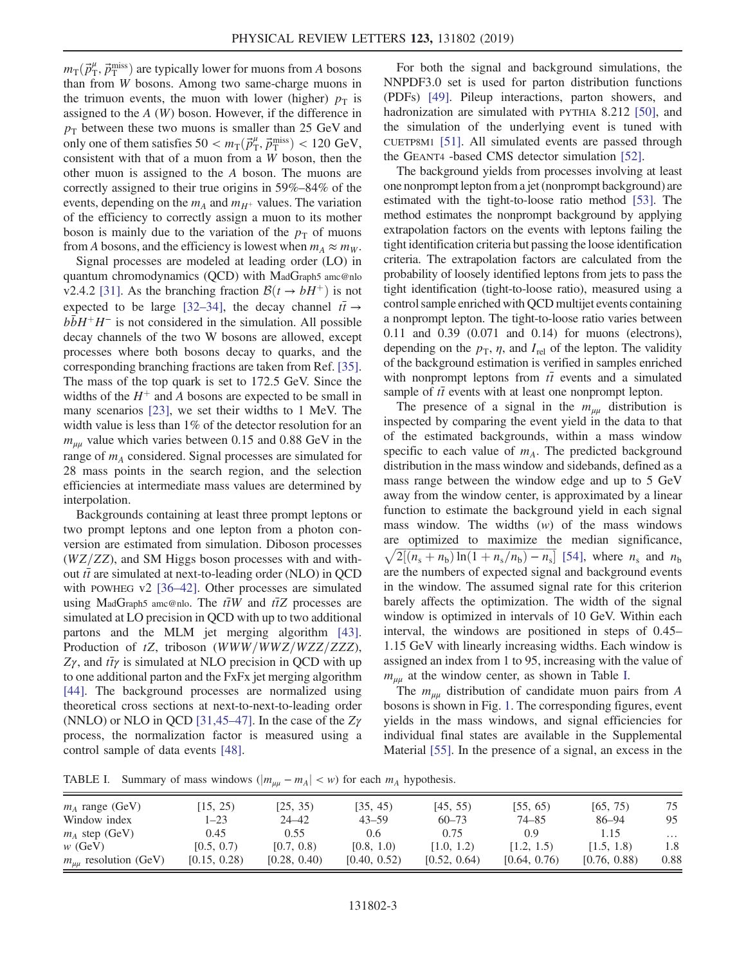$m_{\rm T}(\vec{p}_{\rm T}^{\mu}, \vec{p}_{\rm T}^{\rm miss})$  are typically lower for muons from A bosons than from W bosons. Among two same-charge muons in the trimuon events, the muon with lower (higher)  $p_T$  is assigned to the  $A(W)$  boson. However, if the difference in  $p_T$  between these two muons is smaller than 25 GeV and only one of them satisfies  $50 < m_T(\vec{p}_T^{\mu}, \vec{p}_T^{\text{miss}}) < 120 \text{ GeV}$ , consistent with that of a muon from a W boson, then the other muon is assigned to the A boson. The muons are correctly assigned to their true origins in 59%–84% of the events, depending on the  $m_A$  and  $m_{H^+}$  values. The variation of the efficiency to correctly assign a muon to its mother boson is mainly due to the variation of the  $p<sub>T</sub>$  of muons from A bosons, and the efficiency is lowest when  $m_A \approx m_W$ .

Signal processes are modeled at leading order (LO) in quantum chromodynamics (QCD) with MadGraph5 amc@nlo v2.4.2 [\[31\].](#page-5-11) As the branching fraction  $\mathcal{B}(t \to bH^+)$  is not expected to be large [\[32](#page-5-12)–34], the decay channel  $t\bar{t} \rightarrow$  $b\bar{b}H^+H^-$  is not considered in the simulation. All possible decay channels of the two W bosons are allowed, except processes where both bosons decay to quarks, and the corresponding branching fractions are taken from Ref. [\[35\]](#page-5-13). The mass of the top quark is set to 172.5 GeV. Since the widths of the  $H^+$  and A bosons are expected to be small in many scenarios [\[23\]](#page-5-3), we set their widths to 1 MeV. The width value is less than 1% of the detector resolution for an  $m_{\mu\mu}$  value which varies between 0.15 and 0.88 GeV in the range of  $m_A$  considered. Signal processes are simulated for 28 mass points in the search region, and the selection efficiencies at intermediate mass values are determined by interpolation.

Backgrounds containing at least three prompt leptons or two prompt leptons and one lepton from a photon conversion are estimated from simulation. Diboson processes  $(WZ/ZZ)$ , and SM Higgs boson processes with and without  $t\bar{t}$  are simulated at next-to-leading order (NLO) in QCD with POWHEG v2 [36–[42\].](#page-5-14) Other processes are simulated using MadGraph5 amc@nlo. The  $t\bar{t}W$  and  $t\bar{t}Z$  processes are simulated at LO precision in QCD with up to two additional partons and the MLM jet merging algorithm [\[43\]](#page-5-15). Production of  $tZ$ , triboson (WWW/WWZ/WZZ/ZZZ),  $Z\gamma$ , and  $t\bar{t}\gamma$  is simulated at NLO precision in QCD with up to one additional parton and the FxFx jet merging algorithm [\[44\]](#page-5-16). The background processes are normalized using theoretical cross sections at next-to-next-to-leading order (NNLO) or NLO in QCD [\[31,45](#page-5-11)–47]. In the case of the  $Z\gamma$ process, the normalization factor is measured using a control sample of data events [\[48\]](#page-5-17).

For both the signal and background simulations, the NNPDF3.0 set is used for parton distribution functions (PDFs) [\[49\].](#page-5-18) Pileup interactions, parton showers, and hadronization are simulated with PYTHIA 8.212 [\[50\]](#page-5-19), and the simulation of the underlying event is tuned with CUETP8M1 [\[51\]](#page-6-0). All simulated events are passed through the GEANT4 -based CMS detector simulation [\[52\].](#page-6-1)

The background yields from processes involving at least one nonprompt lepton from a jet (nonprompt background) are estimated with the tight-to-loose ratio method [\[53\]](#page-6-2). The method estimates the nonprompt background by applying extrapolation factors on the events with leptons failing the tight identification criteria but passing the loose identification criteria. The extrapolation factors are calculated from the probability of loosely identified leptons from jets to pass the tight identification (tight-to-loose ratio), measured using a control sample enriched with QCD multijet events containing a nonprompt lepton. The tight-to-loose ratio varies between 0.11 and 0.39 (0.071 and 0.14) for muons (electrons), depending on the  $p_T$ ,  $\eta$ , and  $I_{rel}$  of the lepton. The validity of the background estimation is verified in samples enriched with nonprompt leptons from  $t\bar{t}$  events and a simulated sample of  $t\bar{t}$  events with at least one nonprompt lepton.

The presence of a signal in the  $m_{\mu\mu}$  distribution is inspected by comparing the event yield in the data to that of the estimated backgrounds, within a mass window specific to each value of  $m_A$ . The predicted background distribution in the mass window and sidebands, defined as a mass range between the window edge and up to 5 GeV away from the window center, is approximated by a linear function to estimate the background yield in each signal mass window. The widths  $(w)$  of the mass windows are optimized to maximize the median significance,  $\sqrt{2[(n_s + n_b) \ln(1 + n_s/n_b) - n_s]}$  [\[54\],](#page-6-3) where  $n_s$  and  $n_b$ are the numbers of expected signal and background events in the window. The assumed signal rate for this criterion barely affects the optimization. The width of the signal window is optimized in intervals of 10 GeV. Within each interval, the windows are positioned in steps of 0.45– 1.15 GeV with linearly increasing widths. Each window is assigned an index from 1 to 95, increasing with the value of  $m_{\mu\mu}$  at the window center, as shown in Table [I](#page-2-0).

The  $m_{\mu\mu}$  distribution of candidate muon pairs from A bosons is shown in Fig. [1](#page-3-0). The corresponding figures, event yields in the mass windows, and signal efficiencies for individual final states are available in the Supplemental Material [\[55\]](#page-6-4). In the presence of a signal, an excess in the

<span id="page-2-0"></span>TABLE I. Summary of mass windows  $\left(|m_{uu} - m_A| < w\right)$  for each  $m_A$  hypothesis.

| $m_A$ range (GeV)             | [15, 25)     | [25, 35)     | [35, 45)      | [45, 55]     | [55, 65]     | [65, 75]     | 75       |
|-------------------------------|--------------|--------------|---------------|--------------|--------------|--------------|----------|
| Window index                  | $1 - 23$     | $24 - 42$    | $43 - 59$     | $60 - 73$    | 74–85        | 86-94        | 95       |
| $m_A$ step (GeV)              | 0.45         | 0.55         | $0.6^{\circ}$ | 0.75         | 0.9          | 1.15         | $\cdots$ |
| $w$ (GeV)                     | [0.5, 0.7)   | [0.7, 0.8)   | [0.8, 1.0)    | [1.0, 1.2)   | [1.2, 1.5)   | [1.5, 1.8]   | 1.8      |
| $m_{\mu\mu}$ resolution (GeV) | [0.15, 0.28) | [0.28, 0.40) | [0.40, 0.52)  | [0.52, 0.64) | [0.64, 0.76] | [0.76, 0.88) | 0.88     |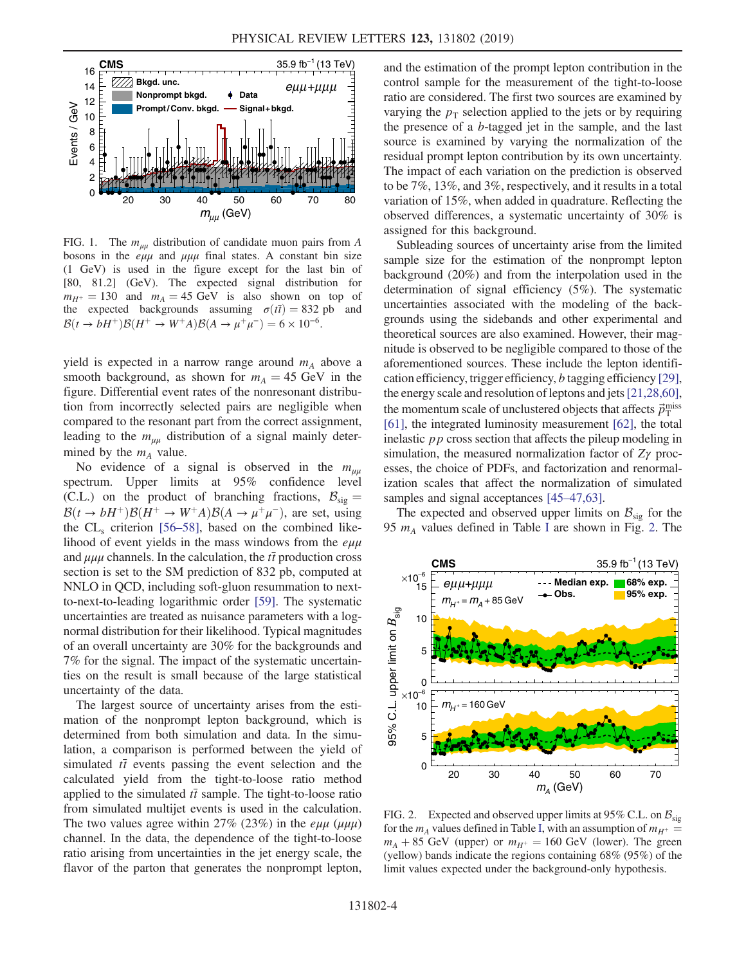<span id="page-3-0"></span>

FIG. 1. The  $m_{uu}$  distribution of candidate muon pairs from A bosons in the  $e\mu\mu$  and  $\mu\mu\mu$  final states. A constant bin size (1 GeV) is used in the figure except for the last bin of [80, 81.2] (GeV). The expected signal distribution for  $m_{H^+} = 130$  and  $m_A = 45$  GeV is also shown on top of the expected backgrounds assuming  $\sigma(\bar{t}) = 832$  pb and  $\mathcal{B}(t \to bH^+) \mathcal{B}(H^+ \to W^+A) \mathcal{B}(A \to \mu^+ \mu^-) = 6 \times 10^{-6}$ .

yield is expected in a narrow range around  $m_A$  above a smooth background, as shown for  $m_A = 45$  GeV in the figure. Differential event rates of the nonresonant distribution from incorrectly selected pairs are negligible when compared to the resonant part from the correct assignment, leading to the  $m_{\mu\mu}$  distribution of a signal mainly determined by the  $m_A$  value.

No evidence of a signal is observed in the  $m_{uu}$ spectrum. Upper limits at 95% confidence level (C.L.) on the product of branching fractions,  $B_{\rm sig} =$  $\mathcal{B}(t \to bH^+) \mathcal{B}(H^+ \to W^+A) \mathcal{B}(A \to \mu^+\mu^-)$ , are set, using the  $CL<sub>s</sub>$  criterion [56–[58\],](#page-6-5) based on the combined likelihood of event yields in the mass windows from the  $e\mu\mu$ and  $\mu\mu\mu$  channels. In the calculation, the  $t\bar{t}$  production cross section is set to the SM prediction of 832 pb, computed at NNLO in QCD, including soft-gluon resummation to nextto-next-to-leading logarithmic order [\[59\]](#page-6-6). The systematic uncertainties are treated as nuisance parameters with a lognormal distribution for their likelihood. Typical magnitudes of an overall uncertainty are 30% for the backgrounds and 7% for the signal. The impact of the systematic uncertainties on the result is small because of the large statistical uncertainty of the data.

The largest source of uncertainty arises from the estimation of the nonprompt lepton background, which is determined from both simulation and data. In the simulation, a comparison is performed between the yield of simulated  $t\bar{t}$  events passing the event selection and the calculated yield from the tight-to-loose ratio method applied to the simulated  $t\bar{t}$  sample. The tight-to-loose ratio from simulated multijet events is used in the calculation. The two values agree within 27% (23%) in the  $e\mu\mu$  ( $\mu\mu\mu$ ) channel. In the data, the dependence of the tight-to-loose ratio arising from uncertainties in the jet energy scale, the flavor of the parton that generates the nonprompt lepton, and the estimation of the prompt lepton contribution in the control sample for the measurement of the tight-to-loose ratio are considered. The first two sources are examined by varying the  $p_T$  selection applied to the jets or by requiring the presence of a b-tagged jet in the sample, and the last source is examined by varying the normalization of the residual prompt lepton contribution by its own uncertainty. The impact of each variation on the prediction is observed to be 7%, 13%, and 3%, respectively, and it results in a total variation of 15%, when added in quadrature. Reflecting the observed differences, a systematic uncertainty of 30% is assigned for this background.

Subleading sources of uncertainty arise from the limited sample size for the estimation of the nonprompt lepton background (20%) and from the interpolation used in the determination of signal efficiency (5%). The systematic uncertainties associated with the modeling of the backgrounds using the sidebands and other experimental and theoretical sources are also examined. However, their magnitude is observed to be negligible compared to those of the aforementioned sources. These include the lepton identification efficiency, trigger efficiency, b tagging efficiency [\[29\]](#page-5-9), the energy scale and resolution of leptons and jets[\[21,28,60\]](#page-5-8), the momentum scale of unclustered objects that affects  $\vec{p}_{\rm T}^{\rm miss}$ [\[61\]](#page-6-7), the integrated luminosity measurement [\[62\]](#page-6-8), the total inelastic pp cross section that affects the pileup modeling in simulation, the measured normalization factor of  $Z\gamma$  processes, the choice of PDFs, and factorization and renormalization scales that affect the normalization of simulated samples and signal acceptances [45–[47,63\]](#page-5-20).

The expected and observed upper limits on  $\mathcal{B}_{\text{sig}}$  for the 95  $m_A$  values defined in Table [I](#page-2-0) are shown in Fig. [2.](#page-3-1) The

<span id="page-3-1"></span>

FIG. 2. Expected and observed upper limits at 95% C.L. on  $\mathcal{B}_{\text{sig}}$ for the  $m_A$  values defined in Table [I,](#page-2-0) with an assumption of  $m_{H^+}$  $m_A + 85$  GeV (upper) or  $m_{H^+} = 160$  GeV (lower). The green (yellow) bands indicate the regions containing 68% (95%) of the limit values expected under the background-only hypothesis.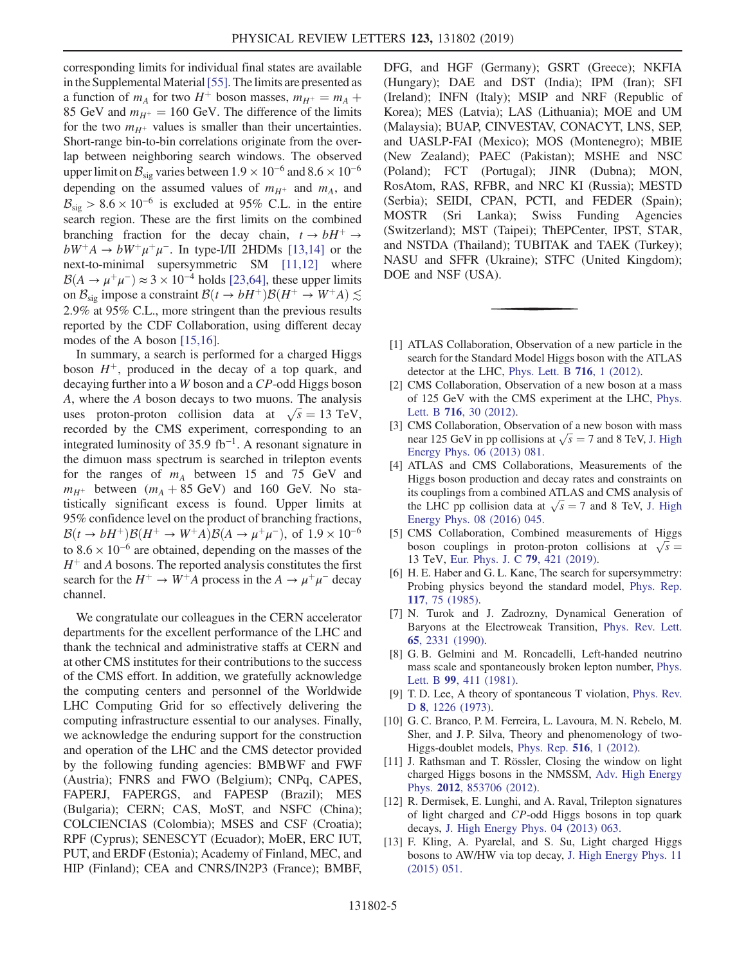corresponding limits for individual final states are available in the Supplemental Material [\[55\].](#page-6-4) The limits are presented as a function of  $m_A$  for two  $H^+$  boson masses,  $m_{H^+} = m_A +$ 85 GeV and  $m_{H^+} = 160$  GeV. The difference of the limits for the two  $m_{H^+}$  values is smaller than their uncertainties. Short-range bin-to-bin correlations originate from the overlap between neighboring search windows. The observed upper limit on  $\mathcal{B}_{sig}$  varies between  $1.9 \times 10^{-6}$  and  $8.6 \times 10^{-6}$ depending on the assumed values of  $m_{H^+}$  and  $m_A$ , and  $B_{\rm sig} > 8.6 \times 10^{-6}$  is excluded at 95% C.L. in the entire search region. These are the first limits on the combined branching fraction for the decay chain,  $t \rightarrow bH^+ \rightarrow$  $bW^+A \rightarrow bW^+\mu^+\mu^-$ . In type-I/II 2HDMs [\[13,14\]](#page-4-7) or the next-to-minimal supersymmetric SM [\[11,12\]](#page-4-6) where  $\mathcal{B}(A \to \mu^+\mu^-) \approx 3 \times 10^{-4}$  holds [\[23,64\]](#page-5-3), these upper limits on  $\mathcal{B}_{\text{sig}}$  impose a constraint  $\mathcal{B}(t \to bH^+) \mathcal{B}(H^+ \to W^+A) \lesssim$ 2.9% at 95% C.L., more stringent than the previous results reported by the CDF Collaboration, using different decay modes of the A boson [\[15,16\].](#page-5-0)

In summary, a search is performed for a charged Higgs boson  $H^+$ , produced in the decay of a top quark, and decaying further into a W boson and a CP-odd Higgs boson A, where the A boson decays to two muons. The analysis uses proton-proton collision data at  $\sqrt{s} = 13 \text{ TeV}$ , recorded by the CMS experiment, corresponding to an integrated luminosity of 35.9 fb<sup>-1</sup>. A resonant signature in the dimuon mass spectrum is searched in trilepton events for the ranges of  $m_A$  between 15 and 75 GeV and  $m_{H^+}$  between  $(m_A + 85 \text{ GeV})$  and 160 GeV. No statistically significant excess is found. Upper limits at 95% confidence level on the product of branching fractions,  $\mathcal{B}(t \to bH^+) \mathcal{B}(H^+ \to W^+A) \mathcal{B}(A \to \mu^+\mu^-)$ , of  $1.9 \times 10^{-6}$ to  $8.6 \times 10^{-6}$  are obtained, depending on the masses of the  $H^+$  and A bosons. The reported analysis constitutes the first search for the  $H^+ \to W^+A$  process in the  $A \to \mu^+\mu^-$  decay channel.

We congratulate our colleagues in the CERN accelerator departments for the excellent performance of the LHC and thank the technical and administrative staffs at CERN and at other CMS institutes for their contributions to the success of the CMS effort. In addition, we gratefully acknowledge the computing centers and personnel of the Worldwide LHC Computing Grid for so effectively delivering the computing infrastructure essential to our analyses. Finally, we acknowledge the enduring support for the construction and operation of the LHC and the CMS detector provided by the following funding agencies: BMBWF and FWF (Austria); FNRS and FWO (Belgium); CNPq, CAPES, FAPERJ, FAPERGS, and FAPESP (Brazil); MES (Bulgaria); CERN; CAS, MoST, and NSFC (China); COLCIENCIAS (Colombia); MSES and CSF (Croatia); RPF (Cyprus); SENESCYT (Ecuador); MoER, ERC IUT, PUT, and ERDF (Estonia); Academy of Finland, MEC, and HIP (Finland); CEA and CNRS/IN2P3 (France); BMBF, DFG, and HGF (Germany); GSRT (Greece); NKFIA (Hungary); DAE and DST (India); IPM (Iran); SFI (Ireland); INFN (Italy); MSIP and NRF (Republic of Korea); MES (Latvia); LAS (Lithuania); MOE and UM (Malaysia); BUAP, CINVESTAV, CONACYT, LNS, SEP, and UASLP-FAI (Mexico); MOS (Montenegro); MBIE (New Zealand); PAEC (Pakistan); MSHE and NSC (Poland); FCT (Portugal); JINR (Dubna); MON, RosAtom, RAS, RFBR, and NRC KI (Russia); MESTD (Serbia); SEIDI, CPAN, PCTI, and FEDER (Spain); MOSTR (Sri Lanka); Swiss Funding Agencies (Switzerland); MST (Taipei); ThEPCenter, IPST, STAR, and NSTDA (Thailand); TUBITAK and TAEK (Turkey); NASU and SFFR (Ukraine); STFC (United Kingdom); DOE and NSF (USA).

- <span id="page-4-0"></span>[1] ATLAS Collaboration, Observation of a new particle in the search for the Standard Model Higgs boson with the ATLAS detector at the LHC, [Phys. Lett. B](https://doi.org/10.1016/j.physletb.2012.08.020) 716, 1 (2012).
- [2] CMS Collaboration, Observation of a new boson at a mass of 125 GeV with the CMS experiment at the LHC, [Phys.](https://doi.org/10.1016/j.physletb.2012.08.021) Lett. B 716[, 30 \(2012\)](https://doi.org/10.1016/j.physletb.2012.08.021).
- <span id="page-4-1"></span>[3] CMS Collaboration, Observation of a new boson with mass near 125 GeV in pp collisions at  $\sqrt{s} = 7$  and 8 TeV, [J. High](https://doi.org/10.1007/JHEP06(2013)081) [Energy Phys. 06 \(2013\) 081.](https://doi.org/10.1007/JHEP06(2013)081)
- [4] ATLAS and CMS Collaborations, Measurements of the Higgs boson production and decay rates and constraints on its couplings from a combined ATLAS and CMS analysis of the LHC pp collision data at  $\sqrt{s} = 7$  and 8 TeV, [J. High](https://doi.org/10.1007/JHEP08(2016)045) [Energy Phys. 08 \(2016\) 045.](https://doi.org/10.1007/JHEP08(2016)045)
- <span id="page-4-2"></span>[5] CMS Collaboration, Combined measurements of Higgs boson couplings in proton-proton collisions at  $\sqrt{s}$  = 13 TeV, [Eur. Phys. J. C](https://doi.org/10.1140/epjc/s10052-019-6909-y) 79, 421 (2019).
- <span id="page-4-3"></span>[6] H. E. Haber and G. L. Kane, The search for supersymmetry: Probing physics beyond the standard model, [Phys. Rep.](https://doi.org/10.1016/0370-1573(85)90051-1) 117[, 75 \(1985\).](https://doi.org/10.1016/0370-1573(85)90051-1)
- <span id="page-4-4"></span>[7] N. Turok and J. Zadrozny, Dynamical Generation of Baryons at the Electroweak Transition, [Phys. Rev. Lett.](https://doi.org/10.1103/PhysRevLett.65.2331) 65[, 2331 \(1990\)](https://doi.org/10.1103/PhysRevLett.65.2331).
- <span id="page-4-5"></span>[8] G. B. Gelmini and M. Roncadelli, Left-handed neutrino mass scale and spontaneously broken lepton number, [Phys.](https://doi.org/10.1016/0370-2693(81)90559-1) Lett. B 99[, 411 \(1981\)](https://doi.org/10.1016/0370-2693(81)90559-1).
- [9] T. D. Lee, A theory of spontaneous T violation, [Phys. Rev.](https://doi.org/10.1103/PhysRevD.8.1226) D 8[, 1226 \(1973\).](https://doi.org/10.1103/PhysRevD.8.1226)
- <span id="page-4-6"></span>[10] G. C. Branco, P. M. Ferreira, L. Lavoura, M. N. Rebelo, M. Sher, and J. P. Silva, Theory and phenomenology of two-Higgs-doublet models, [Phys. Rep.](https://doi.org/10.1016/j.physrep.2012.02.002) 516, 1 (2012).
- [11] J. Rathsman and T. Rössler, Closing the window on light charged Higgs bosons in the NMSSM, [Adv. High Energy](https://doi.org/10.1155/2012/853706) Phys. 2012[, 853706 \(2012\).](https://doi.org/10.1155/2012/853706)
- <span id="page-4-7"></span>[12] R. Dermisek, E. Lunghi, and A. Raval, Trilepton signatures of light charged and CP-odd Higgs bosons in top quark decays, [J. High Energy Phys. 04 \(2013\) 063.](https://doi.org/10.1007/JHEP04(2013)063)
- [13] F. Kling, A. Pyarelal, and S. Su, Light charged Higgs bosons to AW/HW via top decay, [J. High Energy Phys. 11](https://doi.org/10.1007/JHEP11(2015)051) [\(2015\) 051.](https://doi.org/10.1007/JHEP11(2015)051)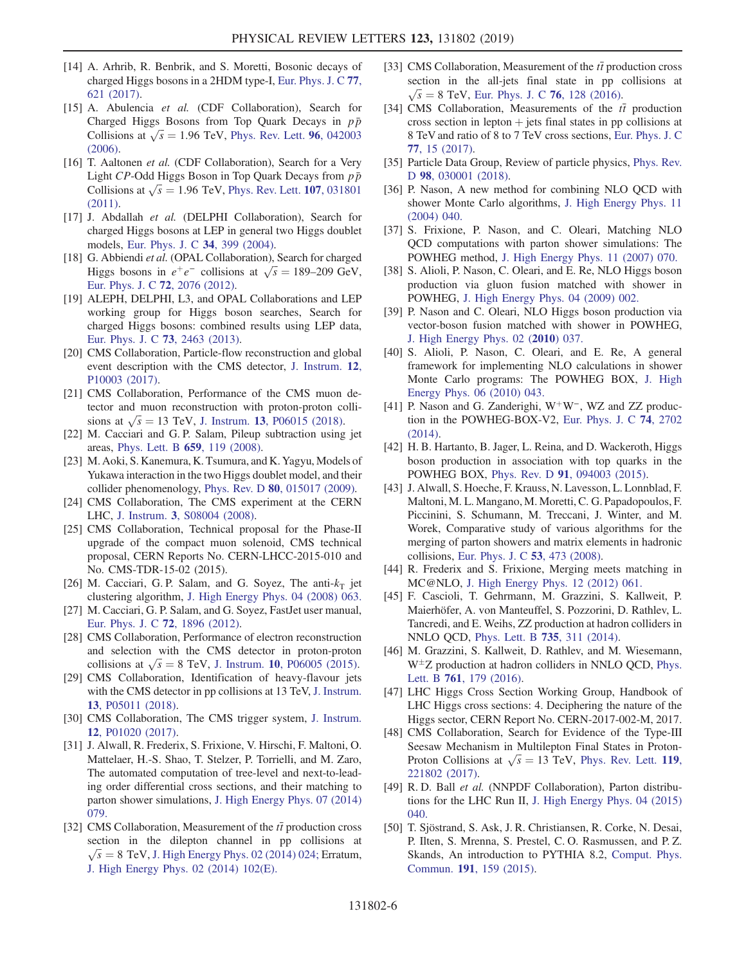- [14] A. Arhrib, R. Benbrik, and S. Moretti, Bosonic decays of charged Higgs bosons in a 2HDM type-I, [Eur. Phys. J. C](https://doi.org/10.1140/epjc/s10052-017-5197-7) 77, [621 \(2017\)](https://doi.org/10.1140/epjc/s10052-017-5197-7).
- <span id="page-5-0"></span>[15] A. Abulencia et al. (CDF Collaboration), Search for Charged Higgs Bosons from Top Quark Decays in  $p\bar{p}$ Collisions at  $\sqrt{s}$  = 1.96 TeV, [Phys. Rev. Lett.](https://doi.org/10.1103/PhysRevLett.96.042003) 96, 042003 [\(2006\).](https://doi.org/10.1103/PhysRevLett.96.042003)
- [16] T. Aaltonen et al. (CDF Collaboration), Search for a Very Light CP-Odd Higgs Boson in Top Quark Decays from  $p\bar{p}$ Collisions at  $\sqrt{s}$  = 1.96 TeV, [Phys. Rev. Lett.](https://doi.org/10.1103/PhysRevLett.107.031801) 107, 031801 [\(2011\).](https://doi.org/10.1103/PhysRevLett.107.031801)
- <span id="page-5-1"></span>[17] J. Abdallah et al. (DELPHI Collaboration), Search for charged Higgs bosons at LEP in general two Higgs doublet models, [Eur. Phys. J. C](https://doi.org/10.1140/epjc/s2004-01732-6) 34, 399 (2004).
- [18] G. Abbiendi et al. (OPAL Collaboration), Search for charged Higgs bosons in  $e^+e^-$  collisions at  $\sqrt{s} = 189-209$  GeV, [Eur. Phys. J. C](https://doi.org/10.1140/epjc/s10052-012-2076-0) 72, 2076 (2012).
- [19] ALEPH, DELPHI, L3, and OPAL Collaborations and LEP working group for Higgs boson searches, Search for charged Higgs bosons: combined results using LEP data, [Eur. Phys. J. C](https://doi.org/10.1140/epjc/s10052-013-2463-1) 73, 2463 (2013).
- <span id="page-5-2"></span>[20] CMS Collaboration, Particle-flow reconstruction and global event description with the CMS detector, [J. Instrum.](https://doi.org/10.1088/1748-0221/12/10/P10003) 12, [P10003 \(2017\)](https://doi.org/10.1088/1748-0221/12/10/P10003).
- <span id="page-5-8"></span>[21] CMS Collaboration, Performance of the CMS muon detector and muon reconstruction with proton-proton collisions at  $\sqrt{s} = 13$  TeV, J. Instrum. 13[, P06015 \(2018\)](https://doi.org/10.1088/1748-0221/13/06/P06015).
- [22] M. Cacciari and G. P. Salam, Pileup subtraction using jet areas, [Phys. Lett. B](https://doi.org/10.1016/j.physletb.2007.09.077) 659, 119 (2008).
- <span id="page-5-3"></span>[23] M. Aoki, S. Kanemura, K. Tsumura, and K. Yagyu, Models of Yukawa interaction in the two Higgs doublet model, and their collider phenomenology, Phys. Rev. D 80[, 015017 \(2009\)](https://doi.org/10.1103/PhysRevD.80.015017).
- <span id="page-5-4"></span>[24] CMS Collaboration, The CMS experiment at the CERN LHC, J. Instrum. 3[, S08004 \(2008\).](https://doi.org/10.1088/1748-0221/3/08/S08004)
- <span id="page-5-5"></span>[25] CMS Collaboration, Technical proposal for the Phase-II upgrade of the compact muon solenoid, CMS technical proposal, CERN Reports No. CERN-LHCC-2015-010 and No. CMS-TDR-15-02 (2015).
- <span id="page-5-6"></span>[26] M. Cacciari, G. P. Salam, and G. Soyez, The anti- $k_T$  jet clustering algorithm, [J. High Energy Phys. 04 \(2008\) 063.](https://doi.org/10.1088/1126-6708/2008/04/063)
- [27] M. Cacciari, G. P. Salam, and G. Soyez, FastJet user manual, [Eur. Phys. J. C](https://doi.org/10.1140/epjc/s10052-012-1896-2) 72, 1896 (2012).
- <span id="page-5-7"></span>[28] CMS Collaboration, Performance of electron reconstruction and selection with the CMS detector in proton-proton collisions at  $\sqrt{s} = 8$  TeV, J. Instrum. 10[, P06005 \(2015\)](https://doi.org/10.1088/1748-0221/10/06/P06005).
- <span id="page-5-9"></span>[29] CMS Collaboration, Identification of heavy-flavour jets with the CMS detector in pp collisions at 13 TeV, [J. Instrum.](https://doi.org/10.1088/1748-0221/13/05/P05011) 13[, P05011 \(2018\)](https://doi.org/10.1088/1748-0221/13/05/P05011).
- <span id="page-5-11"></span><span id="page-5-10"></span>[30] CMS Collaboration, The CMS trigger system, [J. Instrum.](https://doi.org/10.1088/1748-0221/12/01/P01020) 12[, P01020 \(2017\)](https://doi.org/10.1088/1748-0221/12/01/P01020).
- [31] J. Alwall, R. Frederix, S. Frixione, V. Hirschi, F. Maltoni, O. Mattelaer, H.-S. Shao, T. Stelzer, P. Torrielli, and M. Zaro, The automated computation of tree-level and next-to-leading order differential cross sections, and their matching to parton shower simulations, [J. High Energy Phys. 07 \(2014\)](https://doi.org/10.1007/JHEP07(2014)079) [079.](https://doi.org/10.1007/JHEP07(2014)079)
- <span id="page-5-12"></span>[32] CMS Collaboration, Measurement of the  $t\bar{t}$  production cross section in the dilepton channel in pp collisions at  $\sqrt{s}$  = 8 TeV, [J. High Energy Phys. 02 \(2014\) 024;](https://doi.org/10.1007/JHEP02(2014)024) Erratum, [J. High Energy Phys. 02 \(2014\) 102\(E\).](https://doi.org/10.1007/JHEP02(2014)102)
- [33] CMS Collaboration, Measurement of the  $t\bar{t}$  production cross section in the all-jets final state in pp collisions at  $\sqrt{s} = 8$  TeV, [Eur. Phys. J. C](https://doi.org/10.1140/epjc/s10052-016-3956-5) 76, 128 (2016).
- [34] CMS Collaboration, Measurements of the  $t\bar{t}$  production cross section in lepton  $+$  jets final states in pp collisions at 8 TeV and ratio of 8 to 7 TeV cross sections, [Eur. Phys. J. C](https://doi.org/10.1140/epjc/s10052-016-4504-z) 77[, 15 \(2017\).](https://doi.org/10.1140/epjc/s10052-016-4504-z)
- <span id="page-5-13"></span>[35] Particle Data Group, Review of particle physics, [Phys. Rev.](https://doi.org/10.1103/PhysRevD.98.030001) D 98[, 030001 \(2018\)](https://doi.org/10.1103/PhysRevD.98.030001).
- <span id="page-5-14"></span>[36] P. Nason, A new method for combining NLO OCD with shower Monte Carlo algorithms, [J. High Energy Phys. 11](https://doi.org/10.1088/1126-6708/2004/11/040) [\(2004\) 040.](https://doi.org/10.1088/1126-6708/2004/11/040)
- [37] S. Frixione, P. Nason, and C. Oleari, Matching NLO QCD computations with parton shower simulations: The POWHEG method, [J. High Energy Phys. 11 \(2007\) 070.](https://doi.org/10.1088/1126-6708/2007/11/070)
- [38] S. Alioli, P. Nason, C. Oleari, and E. Re, NLO Higgs boson production via gluon fusion matched with shower in POWHEG, [J. High Energy Phys. 04 \(2009\) 002.](https://doi.org/10.1088/1126-6708/2009/04/002)
- [39] P. Nason and C. Oleari, NLO Higgs boson production via vector-boson fusion matched with shower in POWHEG, [J. High Energy Phys. 02 \(](https://doi.org/10.1007/JHEP02(2010)037)2010) 037.
- [40] S. Alioli, P. Nason, C. Oleari, and E. Re, A general framework for implementing NLO calculations in shower Monte Carlo programs: The POWHEG BOX, [J. High](https://doi.org/10.1007/JHEP06(2010)043) [Energy Phys. 06 \(2010\) 043.](https://doi.org/10.1007/JHEP06(2010)043)
- [41] P. Nason and G. Zanderighi, W<sup>+</sup>W<sup>−</sup>, WZ and ZZ production in the POWHEG-BOX-V2, [Eur. Phys. J. C](https://doi.org/10.1140/epjc/s10052-013-2702-5) 74, 2702  $(2014)$ .
- [42] H. B. Hartanto, B. Jager, L. Reina, and D. Wackeroth, Higgs boson production in association with top quarks in the POWHEG BOX, Phys. Rev. D 91[, 094003 \(2015\)](https://doi.org/10.1103/PhysRevD.91.094003).
- <span id="page-5-15"></span>[43] J. Alwall, S. Hoeche, F. Krauss, N. Lavesson, L. Lonnblad, F. Maltoni, M. L. Mangano, M. Moretti, C. G. Papadopoulos, F. Piccinini, S. Schumann, M. Treccani, J. Winter, and M. Worek, Comparative study of various algorithms for the merging of parton showers and matrix elements in hadronic collisions, [Eur. Phys. J. C](https://doi.org/10.1140/epjc/s10052-007-0490-5) 53, 473 (2008).
- <span id="page-5-16"></span>[44] R. Frederix and S. Frixione, Merging meets matching in MC@NLO, [J. High Energy Phys. 12 \(2012\) 061.](https://doi.org/10.1007/JHEP12(2012)061)
- <span id="page-5-20"></span>[45] F. Cascioli, T. Gehrmann, M. Grazzini, S. Kallweit, P. Maierhöfer, A. von Manteuffel, S. Pozzorini, D. Rathlev, L. Tancredi, and E. Weihs, ZZ production at hadron colliders in NNLO QCD, [Phys. Lett. B](https://doi.org/10.1016/j.physletb.2014.06.056) 735, 311 (2014).
- [46] M. Grazzini, S. Kallweit, D. Rathlev, and M. Wiesemann,  $W^{\pm}Z$  production at hadron colliders in NNLO QCD, [Phys.](https://doi.org/10.1016/j.physletb.2016.08.017) Lett. B 761[, 179 \(2016\).](https://doi.org/10.1016/j.physletb.2016.08.017)
- [47] LHC Higgs Cross Section Working Group, Handbook of LHC Higgs cross sections: 4. Deciphering the nature of the Higgs sector, CERN Report No. CERN-2017-002-M, 2017.
- <span id="page-5-17"></span>[48] CMS Collaboration, Search for Evidence of the Type-III Seesaw Mechanism in Multilepton Final States in Proton-Proton Collisions at  $\sqrt{s} = 13$  TeV, [Phys. Rev. Lett.](https://doi.org/10.1103/PhysRevLett.119.221802) 119, [221802 \(2017\).](https://doi.org/10.1103/PhysRevLett.119.221802)
- <span id="page-5-18"></span>[49] R. D. Ball et al. (NNPDF Collaboration), Parton distributions for the LHC Run II, [J. High Energy Phys. 04 \(2015\)](https://doi.org/10.1007/JHEP04(2015)040) [040.](https://doi.org/10.1007/JHEP04(2015)040)
- <span id="page-5-19"></span>[50] T. Sjöstrand, S. Ask, J. R. Christiansen, R. Corke, N. Desai, P. Ilten, S. Mrenna, S. Prestel, C. O. Rasmussen, and P. Z. Skands, An introduction to PYTHIA 8.2, [Comput. Phys.](https://doi.org/10.1016/j.cpc.2015.01.024) Commun. 191[, 159 \(2015\)](https://doi.org/10.1016/j.cpc.2015.01.024).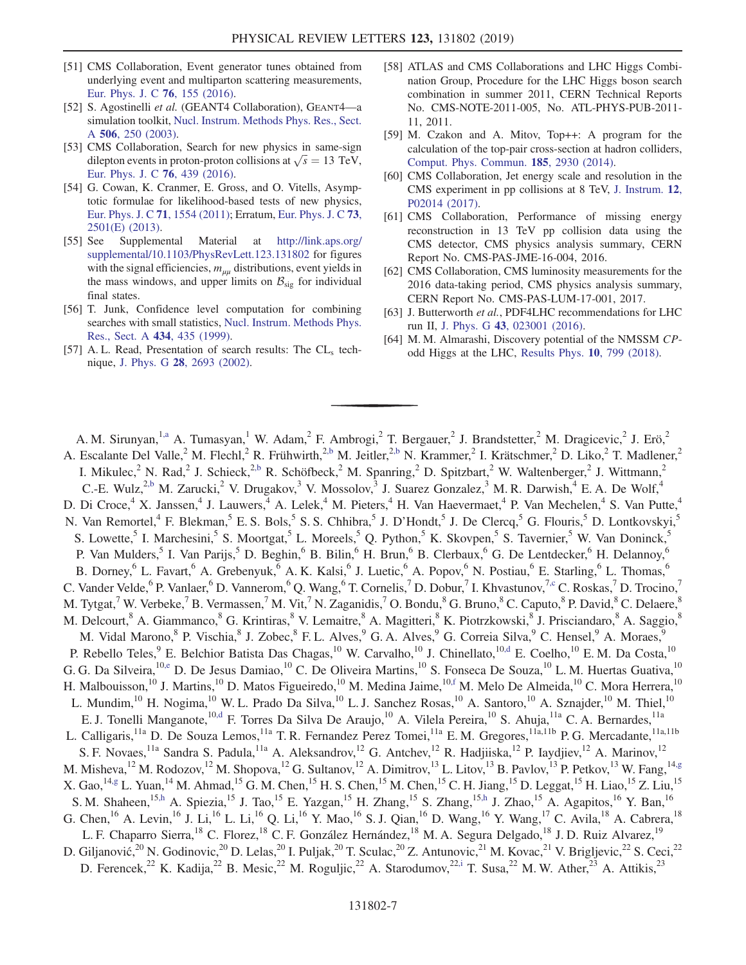- <span id="page-6-0"></span>[51] CMS Collaboration, Event generator tunes obtained from underlying event and multiparton scattering measurements, [Eur. Phys. J. C](https://doi.org/10.1140/epjc/s10052-016-3988-x) 76, 155 (2016).
- <span id="page-6-1"></span>[52] S. Agostinelli et al. (GEANT4 Collaboration), GEANT4—a simulation toolkit, [Nucl. Instrum. Methods Phys. Res., Sect.](https://doi.org/10.1016/S0168-9002(03)01368-8) A 506[, 250 \(2003\).](https://doi.org/10.1016/S0168-9002(03)01368-8)
- <span id="page-6-2"></span>[53] CMS Collaboration, Search for new physics in same-sign dilepton events in proton-proton collisions at  $\sqrt{s} = 13$  TeV, [Eur. Phys. J. C](https://doi.org/10.1140/epjc/s10052-016-4261-z) 76, 439 (2016).
- <span id="page-6-3"></span>[54] G. Cowan, K. Cranmer, E. Gross, and O. Vitells, Asymptotic formulae for likelihood-based tests of new physics, [Eur. Phys. J. C](https://doi.org/10.1140/epjc/s10052-011-1554-0) 71, 1554 (2011); Erratum, [Eur. Phys. J. C](https://doi.org/10.1140/epjc/s10052-013-2501-z) 73, [2501\(E\) \(2013\)](https://doi.org/10.1140/epjc/s10052-013-2501-z).
- <span id="page-6-4"></span>[55] See Supplemental Material at [http://link.aps.org/](http://link.aps.org/supplemental/10.1103/PhysRevLett.123.131802) [supplemental/10.1103/PhysRevLett.123.131802](http://link.aps.org/supplemental/10.1103/PhysRevLett.123.131802) for figures with the signal efficiencies,  $m_{uu}$  distributions, event yields in the mass windows, and upper limits on  $B_{sig}$  for individual final states.
- <span id="page-6-5"></span>[56] T. Junk, Confidence level computation for combining searches with small statistics, [Nucl. Instrum. Methods Phys.](https://doi.org/10.1016/S0168-9002(99)00498-2) [Res., Sect. A](https://doi.org/10.1016/S0168-9002(99)00498-2) 434, 435 (1999).
- [57] A. L. Read, Presentation of search results: The  $CL<sub>s</sub>$  technique, J. Phys. G 28[, 2693 \(2002\).](https://doi.org/10.1088/0954-3899/28/10/313)
- [58] ATLAS and CMS Collaborations and LHC Higgs Combination Group, Procedure for the LHC Higgs boson search combination in summer 2011, CERN Technical Reports No. CMS-NOTE-2011-005, No. ATL-PHYS-PUB-2011- 11, 2011.
- <span id="page-6-6"></span>[59] M. Czakon and A. Mitov, Top++: A program for the calculation of the top-pair cross-section at hadron colliders, [Comput. Phys. Commun.](https://doi.org/10.1016/j.cpc.2014.06.021) 185, 2930 (2014).
- [60] CMS Collaboration, Jet energy scale and resolution in the CMS experiment in pp collisions at 8 TeV, [J. Instrum.](https://doi.org/10.1088/1748-0221/12/02/P02014) 12, [P02014 \(2017\)](https://doi.org/10.1088/1748-0221/12/02/P02014).
- <span id="page-6-7"></span>[61] CMS Collaboration, Performance of missing energy reconstruction in 13 TeV pp collision data using the CMS detector, CMS physics analysis summary, CERN Report No. CMS-PAS-JME-16-004, 2016.
- <span id="page-6-8"></span>[62] CMS Collaboration, CMS luminosity measurements for the 2016 data-taking period, CMS physics analysis summary, CERN Report No. CMS-PAS-LUM-17-001, 2017.
- [63] J. Butterworth et al., PDF4LHC recommendations for LHC run II, J. Phys. G 43[, 023001 \(2016\)](https://doi.org/10.1088/0954-3899/43/2/023001).
- [64] M. M. Almarashi, Discovery potential of the NMSSM CPodd Higgs at the LHC, [Results Phys.](https://doi.org/10.1016/j.rinp.2018.07.036) 10, 799 (2018).

<span id="page-6-17"></span><span id="page-6-16"></span><span id="page-6-15"></span><span id="page-6-14"></span><span id="page-6-13"></span><span id="page-6-12"></span><span id="page-6-11"></span><span id="page-6-10"></span><span id="page-6-9"></span>A. M. Sirunyan,<sup>1[,a](#page-16-0)</sup> A. Tumasyan,<sup>1</sup> W. Adam,<sup>2</sup> F. Ambrogi,<sup>2</sup> T. Bergauer,<sup>2</sup> J. Brandstetter,<sup>2</sup> M. Dragicevic,<sup>2</sup> J. Erö,<sup>2</sup> A. Escalante Del Valle,<sup>2</sup> M. Flechl,<sup>2</sup> R. Frühwirth,<sup>[2,b](#page-16-1)</sup> M. Jeitler,<sup>2,b</sup> N. Krammer,<sup>2</sup> I. Krätschmer,<sup>2</sup> D. Liko,<sup>2</sup> T. Madlener,<sup>2</sup> I. Mikulec,<sup>2</sup> N. Rad,<sup>2</sup> J. Schieck,<sup>[2,b](#page-16-1)</sup> R. Schöfbeck,<sup>2</sup> M. Spanring,<sup>2</sup> D. Spitzbart,<sup>2</sup> W. Waltenberger,<sup>2</sup> J. Wittmann,<sup>2</sup> C.-E. Wulz,<sup>[2,b](#page-16-1)</sup> M. Zarucki,<sup>2</sup> V. Drugakov,<sup>3</sup> V. Mossolov,<sup>3</sup> J. Suarez Gonzalez,<sup>3</sup> M. R. Darwish,<sup>4</sup> E. A. De Wolf,<sup>4</sup> D. Di Croce,<sup>4</sup> X. Janssen,<sup>4</sup> J. Lauwers,<sup>4</sup> A. Lelek,<sup>4</sup> M. Pieters,<sup>4</sup> H. Van Haevermaet,<sup>4</sup> P. Van Mechelen,<sup>4</sup> S. Van Putte,<sup>4</sup> N. Van Remortel,<sup>4</sup> F. Blekman,<sup>5</sup> E. S. Bols,<sup>5</sup> S. S. Chhibra,<sup>5</sup> J. D'Hondt,<sup>5</sup> J. De Clercq,<sup>5</sup> G. Flouris,<sup>5</sup> D. Lontkovskyi,<sup>5</sup> S. Lowette,<sup>5</sup> I. Marchesini,<sup>5</sup> S. Moortgat,<sup>5</sup> L. Moreels,<sup>5</sup> Q. Python,<sup>5</sup> K. Skovpen,<sup>5</sup> S. Tavernier,<sup>5</sup> W. Van Doninck,<sup>5</sup> P. Van Mulders,<sup>5</sup> I. Van Parijs,<sup>5</sup> D. Beghin,<sup>6</sup> B. Bilin,<sup>6</sup> H. Brun,<sup>6</sup> B. Clerbaux,<sup>6</sup> G. De Lentdecker,<sup>6</sup> H. Delannoy,<sup>6</sup> B. Dorney,<sup>6</sup> L. Favart,<sup>6</sup> A. Grebenyuk,<sup>6</sup> A. K. Kalsi,<sup>6</sup> J. Luetic,<sup>6</sup> A. Popov,<sup>6</sup> N. Postiau,<sup>6</sup> E. Starling,<sup>6</sup> L. Thomas,<sup>6</sup> C. Vander Velde, <sup>6</sup> P. Vanlaer, <sup>6</sup> D. Vannerom, <sup>6</sup> Q. Wang, <sup>6</sup> T. Cornelis, <sup>7</sup> D. Dobur, <sup>7</sup> I. Khvastunov, <sup>7, c</sup> C. Roskas, <sup>7</sup> D. Trocino, <sup>7</sup> M. Tytgat,<sup>7</sup> W. Verbeke,<sup>7</sup> B. Vermassen,<sup>7</sup> M. Vit,<sup>7</sup> N. Zaganidis,<sup>7</sup> O. Bondu,<sup>8</sup> G. Bruno,<sup>8</sup> C. Caputo,<sup>8</sup> P. David,<sup>8</sup> C. Delaere,<sup>8</sup> M. Delcourt,<sup>8</sup> A. Giammanco,<sup>8</sup> G. Krintiras,<sup>8</sup> V. Lemaitre,<sup>8</sup> A. Magitteri,<sup>8</sup> K. Piotrzkowski,<sup>8</sup> J. Prisciandaro,<sup>8</sup> A. Saggio,<sup>8</sup> M. Vidal Marono, <sup>8</sup> P. Vischia, <sup>8</sup> J. Zobec, <sup>8</sup> F. L. Alves, <sup>9</sup> G. A. Alves, <sup>9</sup> G. Correia Silva, <sup>9</sup> C. Hensel, <sup>9</sup> A. Moraes, <sup>9</sup> P. Rebello Teles,<sup>9</sup> E. Belchior Batista Das Chagas,<sup>10</sup> W. Carvalho,<sup>10</sup> J. Chinellato,<sup>10[,d](#page-16-3)</sup> E. Coelho,<sup>10</sup> E. M. Da Costa,<sup>10</sup> G. G. Da Silveira, <sup>10[,e](#page-16-4)</sup> D. De Jesus Damiao, <sup>10</sup> C. De Oliveira Martins, <sup>10</sup> S. Fonseca De Souza, <sup>10</sup> L. M. Huertas Guativa, <sup>10</sup> H. Malbouisson,<sup>10</sup> J. Martins,<sup>10</sup> D. Matos Figueiredo,<sup>10</sup> M. Medina Jaime,<sup>1[0,f](#page-16-5)</sup> M. Melo De Almeida,<sup>10</sup> C. Mora Herrera,<sup>10</sup> L. Mundim,<sup>10</sup> H. Nogima,<sup>10</sup> W. L. Prado Da Silva,<sup>10</sup> L. J. Sanchez Rosas,<sup>10</sup> A. Santoro,<sup>10</sup> A. Sznajder,<sup>10</sup> M. Thiel,<sup>10</sup> E. J. Tonelli Manganote,<sup>10[,d](#page-16-3)</sup> F. Torres Da Silva De Araujo,<sup>10</sup> A. Vilela Pereira,<sup>10</sup> S. Ahuja,<sup>11a</sup> C. A. Bernardes,<sup>11a</sup> L. Calligaris,<sup>11a</sup> D. De Souza Lemos,<sup>11a</sup> T. R. Fernandez Perez Tomei,<sup>11a</sup> E. M. Gregores,<sup>11a,11b</sup> P. G. Mercadante,<sup>11a,11b</sup> S. F. Novaes,<sup>11a</sup> Sandra S. Padula,<sup>11a</sup> A. Aleksandrov,<sup>12</sup> G. Antchev,<sup>12</sup> R. Hadjiiska,<sup>12</sup> P. Iaydjiev,<sup>12</sup> A. Marinov,<sup>12</sup> M. Misheva,<sup>12</sup> M. Rodozov,<sup>12</sup> M. Shopova,<sup>12</sup> G. Sultanov,<sup>12</sup> A. Dimitrov,<sup>13</sup> L. Litov,<sup>13</sup> B. Pavlov,<sup>13</sup> P. Petkov,<sup>13</sup> W. Fang,<sup>14[,g](#page-16-6)</sup> X. Gao,<sup>14[,g](#page-16-6)</sup> L. Yuan,<sup>14</sup> M. Ahmad,<sup>15</sup> G. M. Chen,<sup>15</sup> H. S. Chen,<sup>15</sup> M. Chen,<sup>15</sup> C. H. Jiang,<sup>15</sup> D. Leggat,<sup>15</sup> H. Liao,<sup>15</sup> Z. Liu,<sup>15</sup> S. M. Shaheen,<sup>1[5,h](#page-16-7)</sup> A. Spiezia,<sup>15</sup> J. Tao,<sup>15</sup> E. Yazgan,<sup>15</sup> H. Zhang,<sup>15</sup> S. Zhang,<sup>15[,h](#page-16-7)</sup> J. Zhao,<sup>15</sup> A. Agapitos,<sup>16</sup> Y. Ban,<sup>16</sup> G. Chen, <sup>16</sup> A. Levin, <sup>16</sup> J. Li, <sup>16</sup> L. Li, <sup>16</sup> Q. Li, <sup>16</sup> Y. Mao, <sup>16</sup> S. J. Qian, <sup>16</sup> D. Wang, <sup>16</sup> Y. Wang, <sup>17</sup> C. Avila, <sup>18</sup> A. Cabrera, <sup>18</sup> L. F. Chaparro Sierra,<sup>18</sup> C. Florez,<sup>18</sup> C. F. González Hernández,<sup>18</sup> M. A. Segura Delgado,<sup>18</sup> J. D. Ruiz Alvarez,<sup>19</sup> D. Giljanović,<sup>20</sup> N. Godinovic,<sup>20</sup> D. Lelas,<sup>20</sup> I. Puljak,<sup>20</sup> T. Sculac,<sup>20</sup> Z. Antunovic,<sup>21</sup> M. Kovac,<sup>21</sup> V. Brigljevic,<sup>22</sup> S. Ceci,<sup>22</sup> D. Ferencek,<sup>22</sup> K. Kadija,<sup>22</sup> B. Mesic,<sup>22</sup> M. Roguljic,<sup>22</sup> A. Starodumov,<sup>2[2,i](#page-16-8)</sup> T. Susa,<sup>22</sup> M. W. Ather,<sup>23</sup> A. Attikis,<sup>23</sup>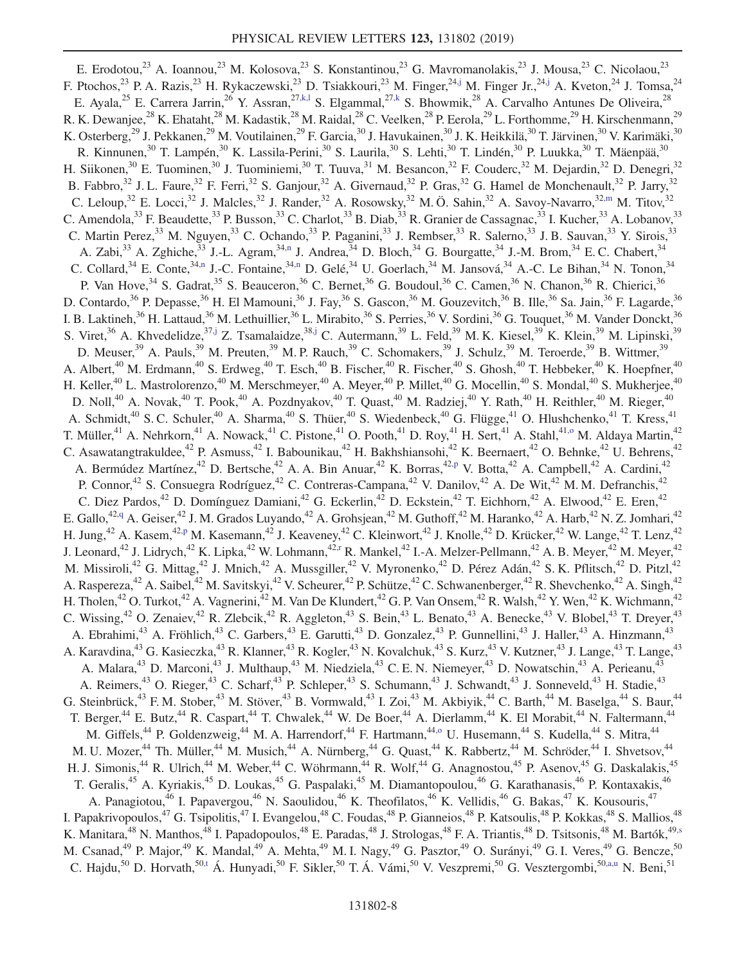<span id="page-7-9"></span><span id="page-7-8"></span><span id="page-7-7"></span><span id="page-7-6"></span><span id="page-7-5"></span><span id="page-7-4"></span><span id="page-7-3"></span><span id="page-7-2"></span><span id="page-7-1"></span><span id="page-7-0"></span>E. Erodotou,<sup>23</sup> A. Ioannou,<sup>23</sup> M. Kolosova,<sup>23</sup> S. Konstantinou,<sup>23</sup> G. Mavromanolakis,<sup>23</sup> J. Mousa,<sup>23</sup> C. Nicolaou,<sup>23</sup> F. Ptochos,<sup>23</sup> P. A. Razis,<sup>23</sup> H. Rykaczewski,<sup>23</sup> D. Tsiakkouri,<sup>23</sup> M. Finger,<sup>2[4,j](#page-16-9)</sup> M. Finger Jr.,<sup>24[,j](#page-16-9)</sup> A. Kveton,<sup>24</sup> J. Tomsa,<sup>24</sup> E. Ayala,<sup>25</sup> E. Carrera Jarrin,<sup>26</sup> Y. Assran,<sup>27[,k](#page-16-10),1</sup> S. Elgammal,<sup>27,k</sup> S. Bhowmik,<sup>28</sup> A. Carvalho Antunes De Oliveira,<sup>28</sup> R. K. Dewanjee,<sup>28</sup> K. Ehataht,<sup>28</sup> M. Kadastik,<sup>28</sup> M. Raidal,<sup>28</sup> C. Veelken,<sup>28</sup> P. Eerola,<sup>29</sup> L. Forthomme,<sup>29</sup> H. Kirschenmann,<sup>29</sup> K. Osterberg,<sup>29</sup> J. Pekkanen,<sup>29</sup> M. Voutilainen,<sup>29</sup> F. Garcia,<sup>30</sup> J. Havukainen,<sup>30</sup> J. K. Heikkilä,<sup>30</sup> T. Järvinen,<sup>30</sup> V. Karimäki,<sup>30</sup> R. Kinnunen,<sup>30</sup> T. Lampén,<sup>30</sup> K. Lassila-Perini,<sup>30</sup> S. Laurila,<sup>30</sup> S. Lehti,<sup>30</sup> T. Lindén,<sup>30</sup> P. Luukka,<sup>30</sup> T. Mäenpää,<sup>30</sup> H. Siikonen,<sup>30</sup> E. Tuominen,<sup>30</sup> J. Tuominiemi,<sup>30</sup> T. Tuuva,<sup>31</sup> M. Besancon,<sup>32</sup> F. Couderc,<sup>32</sup> M. Dejardin,<sup>32</sup> D. Denegri,<sup>32</sup> B. Fabbro,<sup>32</sup> J. L. Faure,<sup>32</sup> F. Ferri,<sup>32</sup> S. Ganjour,<sup>32</sup> A. Givernaud,<sup>32</sup> P. Gras,<sup>32</sup> G. Hamel de Monchenault,<sup>32</sup> P. Jarry,<sup>32</sup> C. Leloup,<sup>32</sup> E. Locci,<sup>32</sup> J. Malcles,<sup>32</sup> J. Rander,<sup>32</sup> A. Rosowsky,<sup>32</sup> M. Ö. Sahin,<sup>32</sup> A. Savoy-Navarro,<sup>32[,m](#page-16-11)</sup> M. Titov,<sup>32</sup> C. Amendola,<sup>33</sup> F. Beaudette,<sup>33</sup> P. Busson,<sup>33</sup> C. Charlot,<sup>33</sup> B. Diab,<sup>33</sup> R. Granier de Cassagnac,<sup>33</sup> I. Kucher,<sup>33</sup> A. Lobanov,<sup>33</sup> C. Martin Perez,<sup>33</sup> M. Nguyen,<sup>33</sup> C. Ochando,<sup>33</sup> P. Paganini,<sup>33</sup> J. Rembser,<sup>33</sup> R. Salerno,<sup>33</sup> J. B. Sauvan,<sup>33</sup> Y. Sirois,<sup>33</sup> A. Zabi,<sup>33</sup> A. Zghiche,<sup>33</sup> J.-L. Agram,<sup>34[,n](#page-16-12)</sup> J. Andrea,<sup>34</sup> D. Bloch,<sup>34</sup> G. Bourgatte,<sup>34</sup> J.-M. Brom,<sup>34</sup> E. C. Chabert,<sup>34</sup> C. Collard,  $34$  E. Conte,  $34, n$  J.-C. Fontaine,  $34, n$  D. Gelé,  $34$  U. Goerlach,  $34$  M. Jansová,  $34$  A.-C. Le Bihan,  $34$  N. Tonon,  $34$ P. Van Hove,<sup>34</sup> S. Gadrat,<sup>35</sup> S. Beauceron,<sup>36</sup> C. Bernet,<sup>36</sup> G. Boudoul,<sup>36</sup> C. Camen,<sup>36</sup> N. Chanon,<sup>36</sup> R. Chierici,<sup>36</sup> D. Contardo,<sup>36</sup> P. Depasse,<sup>36</sup> H. El Mamouni,<sup>36</sup> J. Fay,<sup>36</sup> S. Gascon,<sup>36</sup> M. Gouzevitch,<sup>36</sup> B. Ille,<sup>36</sup> Sa. Jain,<sup>36</sup> F. Lagarde,<sup>36</sup> I. B. Laktineh,<sup>36</sup> H. Lattaud,<sup>36</sup> M. Lethuillier,<sup>36</sup> L. Mirabito,<sup>36</sup> S. Perries,<sup>36</sup> V. Sordini,<sup>36</sup> G. Touquet,<sup>36</sup> M. Vander Donckt,<sup>36</sup> S. Viret,<sup>36</sup> A. Khvedelidze,<sup>37[,j](#page-16-9)</sup> Z. Tsamalaidze,<sup>38,j</sup> C. Autermann,<sup>39</sup> L. Feld,<sup>39</sup> M. K. Kiesel,<sup>39</sup> K. Klein,<sup>39</sup> M. Lipinski,<sup>39</sup> D. Meuser,<sup>39</sup> A. Pauls,<sup>39</sup> M. Preuten,<sup>39</sup> M. P. Rauch,<sup>39</sup> C. Schomakers,<sup>39</sup> J. Schulz,<sup>39</sup> M. Teroerde,<sup>39</sup> B. Wittmer,<sup>39</sup> A. Albert,<sup>40</sup> M. Erdmann,<sup>40</sup> S. Erdweg,<sup>40</sup> T. Esch,<sup>40</sup> B. Fischer,<sup>40</sup> R. Fischer,<sup>40</sup> S. Ghosh,<sup>40</sup> T. Hebbeker,<sup>40</sup> K. Hoepfner,<sup>40</sup> H. Keller,<sup>40</sup> L. Mastrolorenzo,<sup>40</sup> M. Merschmeyer,<sup>40</sup> A. Meyer,<sup>40</sup> P. Millet,<sup>40</sup> G. Mocellin,<sup>40</sup> S. Mondal,<sup>40</sup> S. Mukherjee,<sup>40</sup> D. Noll,<sup>40</sup> A. Novak,<sup>40</sup> T. Pook,<sup>40</sup> A. Pozdnyakov,<sup>40</sup> T. Quast,<sup>40</sup> M. Radziej,<sup>40</sup> Y. Rath,<sup>40</sup> H. Reithler,<sup>40</sup> M. Rieger,<sup>40</sup> A. Schmidt,<sup>40</sup> S. C. Schuler,<sup>40</sup> A. Sharma,<sup>40</sup> S. Thüer,<sup>40</sup> S. Wiedenbeck,<sup>40</sup> G. Flügge,<sup>41</sup> O. Hlushchenko,<sup>41</sup> T. Kress,<sup>41</sup> T. Müller,<sup>41</sup> A. Nehrkorn,<sup>41</sup> A. Nowack,<sup>41</sup> C. Pistone,<sup>41</sup> O. Pooth,<sup>41</sup> D. Roy,<sup>41</sup> H. Sert,<sup>41</sup> A. Stahl,<sup>41,0</sup> M. Aldaya Martin,<sup>42</sup> C. Asawatangtrakuldee,<sup>42</sup> P. Asmuss,<sup>42</sup> I. Babounikau,<sup>42</sup> H. Bakhshiansohi,<sup>42</sup> K. Beernaert,<sup>42</sup> O. Behnke,<sup>42</sup> U. Behrens,<sup>42</sup> A. Bermúdez Martínez,<sup>42</sup> D. Bertsche,<sup>42</sup> A. A. Bin Anuar,<sup>42</sup> K. Borras,<sup>42[,p](#page-16-14)</sup> V. Botta,<sup>42</sup> A. Campbell,<sup>42</sup> A. Cardini,<sup>42</sup> P. Connor,<sup>42</sup> S. Consuegra Rodríguez,<sup>42</sup> C. Contreras-Campana,<sup>42</sup> V. Danilov,<sup>42</sup> A. De Wit,<sup>42</sup> M. M. Defranchis,<sup>42</sup> C. Diez Pardos,<sup>42</sup> D. Domínguez Damiani,<sup>42</sup> G. Eckerlin,<sup>42</sup> D. Eckstein,<sup>42</sup> T. Eichhorn,<sup>42</sup> A. Elwood,<sup>42</sup> E. Eren,<sup>42</sup> E. Gallo,<sup>4[2,q](#page-16-15)</sup> A. Geiser,<sup>42</sup> J. M. Grados Luyando,<sup>42</sup> A. Grohsjean,<sup>42</sup> M. Guthoff,<sup>42</sup> M. Haranko,<sup>42</sup> A. Harb,<sup>42</sup> N. Z. Jomhari,<sup>42</sup> H. Jung,<sup>42</sup> A. Kasem,<sup>42[,p](#page-16-14)</sup> M. Kasemann,<sup>42</sup> J. Keaveney,<sup>42</sup> C. Kleinwort,<sup>42</sup> J. Knolle,<sup>42</sup> D. Krücker,<sup>42</sup> W. Lange,<sup>42</sup> T. Lenz,<sup>42</sup> J. Leonard,<sup>42</sup> J. Lidrych,<sup>42</sup> K. Lipka,<sup>42</sup> W. Lohmann,<sup>4[2,r](#page-16-16)</sup> R. Mankel,<sup>42</sup> I.-A. Melzer-Pellmann,<sup>42</sup> A. B. Meyer,<sup>42</sup> M. Meyer,<sup>42</sup> M. Missiroli,<sup>42</sup> G. Mittag,<sup>42</sup> J. Mnich,<sup>42</sup> A. Mussgiller,<sup>42</sup> V. Myronenko,<sup>42</sup> D. Pérez Adán,<sup>42</sup> S. K. Pflitsch,<sup>42</sup> D. Pitzl,<sup>42</sup> A. Raspereza,<sup>42</sup> A. Saibel,<sup>42</sup> M. Savitskyi,<sup>42</sup> V. Scheurer,<sup>42</sup> P. Schütze,<sup>42</sup> C. Schwanenberger,<sup>42</sup> R. Shevchenko,<sup>42</sup> A. Singh,<sup>42</sup> H. Tholen,<sup>42</sup> O. Turkot,<sup>42</sup> A. Vagnerini,<sup>42</sup> M. Van De Klundert,<sup>42</sup> G. P. Van Onsem,<sup>42</sup> R. Walsh,<sup>42</sup> Y. Wen,<sup>42</sup> K. Wichmann,<sup>42</sup> C. Wissing,<sup>42</sup> O. Zenaiev,<sup>42</sup> R. Zlebcik,<sup>42</sup> R. Aggleton,<sup>43</sup> S. Bein,<sup>43</sup> L. Benato,<sup>43</sup> A. Benecke,<sup>43</sup> V. Blobel,<sup>43</sup> T. Dreyer,<sup>43</sup> A. Ebrahimi,<sup>43</sup> A. Fröhlich,<sup>43</sup> C. Garbers,<sup>43</sup> E. Garutti,<sup>43</sup> D. Gonzalez,<sup>43</sup> P. Gunnellini,<sup>43</sup> J. Haller,<sup>43</sup> A. Hinzmann,<sup>43</sup> A. Karavdina,<sup>43</sup> G. Kasieczka,<sup>43</sup> R. Klanner,<sup>43</sup> R. Kogler,<sup>43</sup> N. Kovalchuk,<sup>43</sup> S. Kurz,<sup>43</sup> V. Kutzner,<sup>43</sup> J. Lange,<sup>43</sup> T. Lange,<sup>43</sup> A. Malara,<sup>43</sup> D. Marconi,<sup>43</sup> J. Multhaup,<sup>43</sup> M. Niedziela,<sup>43</sup> C. E. N. Niemeyer,<sup>43</sup> D. Nowatschin,<sup>43</sup> A. Perieanu,<sup>43</sup> A. Reimers,<sup>43</sup> O. Rieger,<sup>43</sup> C. Scharf,<sup>43</sup> P. Schleper,<sup>43</sup> S. Schumann,<sup>43</sup> J. Schwandt,<sup>43</sup> J. Sonneveld,<sup>43</sup> H. Stadie,<sup>43</sup> G. Steinbrück,<sup>43</sup> F. M. Stober,<sup>43</sup> M. Stöver,<sup>43</sup> B. Vormwald,<sup>43</sup> I. Zoi,<sup>43</sup> M. Akbiyik,<sup>44</sup> C. Barth,<sup>44</sup> M. Baselga,<sup>44</sup> S. Baur,<sup>44</sup> T. Berger,<sup>44</sup> E. Butz,<sup>44</sup> R. Caspart,<sup>44</sup> T. Chwalek,<sup>44</sup> W. De Boer,<sup>44</sup> A. Dierlamm,<sup>44</sup> K. El Morabit,<sup>44</sup> N. Faltermann,<sup>44</sup> M. Giffels,<sup>44</sup> P. Goldenzweig,<sup>44</sup> M. A. Harrendorf,<sup>44</sup> F. Hartmann,<sup>44[,o](#page-16-13)</sup> U. Husemann,<sup>44</sup> S. Kudella,<sup>44</sup> S. Mitra,<sup>44</sup> M. U. Mozer,<sup>44</sup> Th. Müller,<sup>44</sup> M. Musich,<sup>44</sup> A. Nürnberg,<sup>44</sup> G. Quast,<sup>44</sup> K. Rabbertz,<sup>44</sup> M. Schröder,<sup>44</sup> I. Shvetsov,<sup>44</sup> H. J. Simonis,<sup>44</sup> R. Ulrich,<sup>44</sup> M. Weber,<sup>44</sup> C. Wöhrmann,<sup>44</sup> R. Wolf,<sup>44</sup> G. Anagnostou,<sup>45</sup> P. Asenov,<sup>45</sup> G. Daskalakis,<sup>45</sup> T. Geralis,<sup>45</sup> A. Kyriakis,<sup>45</sup> D. Loukas,<sup>45</sup> G. Paspalaki,<sup>45</sup> M. Diamantopoulou,<sup>46</sup> G. Karathanasis,<sup>46</sup> P. Kontaxakis,<sup>46</sup> A. Panagiotou,<sup>46</sup> I. Papavergou,<sup>46</sup> N. Saoulidou,<sup>46</sup> K. Theofilatos,<sup>46</sup> K. Vellidis,<sup>46</sup> G. Bakas,<sup>47</sup> K. Kousouris,<sup>47</sup> I. Papakrivopoulos,<sup>47</sup> G. Tsipolitis,<sup>47</sup> I. Evangelou,<sup>48</sup> C. Foudas,<sup>48</sup> P. Gianneios,<sup>48</sup> P. Katsoulis,<sup>48</sup> P. Kokkas,<sup>48</sup> S. Mallios,<sup>48</sup> K. Manitara,<sup>48</sup> N. Manthos,<sup>48</sup> I. Papadopoulos,<sup>48</sup> E. Paradas,<sup>48</sup> J. Strologas,<sup>48</sup> F. A. Triantis,<sup>48</sup> D. Tsitsonis,<sup>48</sup> M. Bartók,<sup>49[,s](#page-16-17)</sup> M. Csanad,<sup>49</sup> P. Major,<sup>49</sup> K. Mandal,<sup>49</sup> A. Mehta,<sup>49</sup> M. I. Nagy,<sup>49</sup> G. Pasztor,<sup>49</sup> O. Surányi,<sup>49</sup> G. I. Veres,<sup>49</sup> G. Bencze,<sup>50</sup> C. Hajdu,<sup>50</sup> D. Horvath,<sup>5[0,t](#page-16-18)</sup> Á. Hunyadi,<sup>50</sup> F. Sikler,<sup>50</sup> T. Á. Vámi,<sup>50</sup> V. Veszpremi,<sup>50</sup> G. Vesztergombi,<sup>5[0,a,u](#page-16-0)</sup> N. Beni,<sup>51</sup>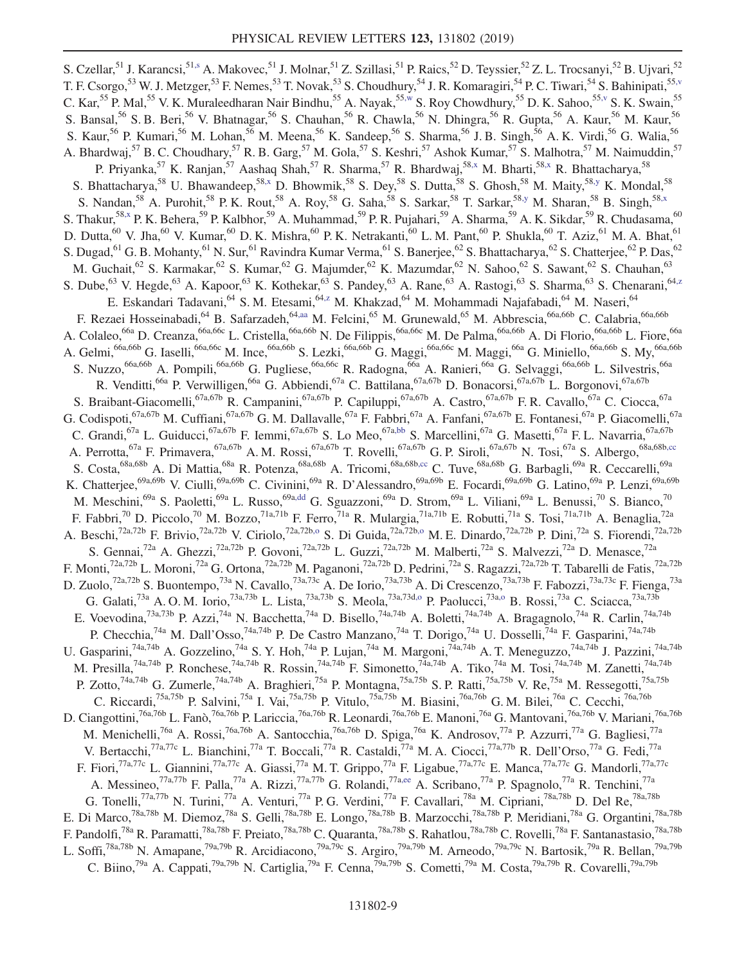<span id="page-8-8"></span><span id="page-8-7"></span><span id="page-8-6"></span><span id="page-8-5"></span><span id="page-8-4"></span><span id="page-8-3"></span><span id="page-8-2"></span><span id="page-8-1"></span><span id="page-8-0"></span>S. Czellar,<sup>51</sup> J. Karancsi,<sup>51[,s](#page-16-17)</sup> A. Makovec,<sup>51</sup> J. Molnar,<sup>51</sup> Z. Szillasi,<sup>51</sup> P. Raics,<sup>52</sup> D. Teyssier,<sup>52</sup> Z. L. Trocsanyi,<sup>52</sup> B. Ujvari,<sup>52</sup> T. F. Csorgo,<sup>53</sup> W. J. Metzger,<sup>53</sup> F. Nemes,<sup>53</sup> T. Novak,<sup>53</sup> S. Choudhury,<sup>54</sup> J. R. Komaragiri,<sup>54</sup> P. C. Tiwari,<sup>54</sup> S. Bahinipati,<sup>55[,v](#page-16-19)</sup> C. Kar,<sup>55</sup> P. Mal,<sup>55</sup> V. K. Muraleedharan Nair Bindhu,<sup>55</sup> A. Nayak,<sup>5[5,w](#page-16-20)</sup> S. Roy Chowdhury,<sup>55</sup> D. K. Sahoo,<sup>5[5,v](#page-16-19)</sup> S. K. Swain,<sup>55</sup> S. Bansal,<sup>56</sup> S. B. Beri,<sup>56</sup> V. Bhatnagar,<sup>56</sup> S. Chauhan,<sup>56</sup> R. Chawla,<sup>56</sup> N. Dhingra,<sup>56</sup> R. Gupta,<sup>56</sup> A. Kaur,<sup>56</sup> M. Kaur,<sup>56</sup> S. Kaur,<sup>56</sup> P. Kumari,<sup>56</sup> M. Lohan,<sup>56</sup> M. Meena,<sup>56</sup> K. Sandeep,<sup>56</sup> S. Sharma,<sup>56</sup> J. B. Singh,<sup>56</sup> A. K. Virdi,<sup>56</sup> G. Walia,<sup>56</sup> A. Bhardwaj,<sup>57</sup> B. C. Choudhary,<sup>57</sup> R. B. Garg,<sup>57</sup> M. Gola,<sup>57</sup> S. Keshri,<sup>57</sup> Ashok Kumar,<sup>57</sup> S. Malhotra,<sup>57</sup> M. Naimuddin,<sup>57</sup> P. Priyanka,<sup>57</sup> K. Ranjan,<sup>57</sup> Aashaq Shah,<sup>57</sup> R. Sharma,<sup>57</sup> R. Bhardwaj,<sup>58[,x](#page-16-21)</sup> M. Bharti,<sup>5[8,x](#page-16-21)</sup> R. Bhattacharya,<sup>58</sup> S. Bhattacharya,<sup>58</sup> U. Bhawandeep,<sup>5[8,x](#page-16-21)</sup> D. Bhowmik,<sup>58</sup> S. Dey,<sup>58</sup> S. Dutta,<sup>58</sup> S. Ghosh,<sup>58</sup> M. Maity,<sup>5[8,y](#page-16-22)</sup> K. Mondal,<sup>58</sup> S. Nandan,<sup>58</sup> A. Purohit,<sup>58</sup> P. K. Rout,<sup>58</sup> A. Roy,<sup>58</sup> G. Saha,<sup>58</sup> S. Sarkar,<sup>58</sup> T. Sarkar,<sup>5[8,y](#page-16-22)</sup> M. Sharan,<sup>58</sup> B. Singh,<sup>58[,x](#page-16-21)</sup> S. Thakur,<sup>5[8,x](#page-16-21)</sup> P. K. Behera,<sup>59</sup> P. Kalbhor,<sup>59</sup> A. Muhammad,<sup>59</sup> P. R. Pujahari,<sup>59</sup> A. Sharma,<sup>59</sup> A. K. Sikdar,<sup>59</sup> R. Chudasama,<sup>60</sup> D. Dutta,  $^{60}$  V. Jha,  $^{60}$  V. Kumar,  $^{60}$  D. K. Mishra,  $^{60}$  P. K. Netrakanti,  $^{60}$  L. M. Pant,  $^{60}$  P. Shukla,  $^{60}$  T. Aziz,  $^{61}$  M. A. Bhat,  $^{61}$ S. Dugad, <sup>61</sup> G. B. Mohanty, <sup>61</sup> N. Sur, <sup>61</sup> Ravindra Kumar Verma, <sup>61</sup> S. Banerjee, <sup>62</sup> S. Bhattacharya, <sup>62</sup> S. Chatterjee, <sup>62</sup> P. Das, <sup>62</sup> M. Guchait, <sup>62</sup> S. Karmakar, <sup>62</sup> S. Kumar, <sup>62</sup> G. Majumder, <sup>62</sup> K. Mazumdar, <sup>62</sup> N. Sahoo, <sup>62</sup> S. Sawant, <sup>62</sup> S. Chauhan, <sup>63</sup> S. Dube,<sup>63</sup> V. Hegde,<sup>63</sup> A. Kapoor,<sup>63</sup> K. Kothekar,<sup>63</sup> S. Pandey,<sup>63</sup> A. Rane,<sup>63</sup> A. Rastogi,<sup>63</sup> S. Sharma,<sup>63</sup> S. Chenarani,<sup>6[4,z](#page-16-23)</sup> E. Eskandari Tadavani,<sup>64</sup> S.M. Etesami,<sup>64[,z](#page-16-23)</sup> M. Khakzad,<sup>64</sup> M. Mohammadi Najafabadi,<sup>64</sup> M. Naseri,<sup>64</sup> F. Rezaei Hosseinabadi, <sup>64</sup> B. Safarzadeh, <sup>64[,aa](#page-16-24)</sup> M. Felcini, <sup>65</sup> M. Grunewald, <sup>65</sup> M. Abbrescia, <sup>66a, 66b</sup> C. Calabria, <sup>66a, 66b</sup> A. Colaleo,<sup>66a</sup> D. Creanza,<sup>66a,66c</sup> L. Cristella,<sup>66a,66b</sup> N. De Filippis,<sup>66a,66c</sup> M. De Palma,<sup>66a,66b</sup> A. Di Florio,<sup>66a,66b</sup> L. Fiore,<sup>66a</sup> A. Gelmi,<sup>66a,66b</sup> G. Iaselli,<sup>66a,66c</sup> M. Ince,<sup>66a,66b</sup> S. Lezki,<sup>66a,66b</sup> G. Maggi,<sup>66a,66c</sup> M. Maggi,<sup>66a</sup> G. Miniello,<sup>66a,66b</sup> S. My,<sup>66a,66b</sup> S. Nuzzo,<sup>66a,66b</sup> A. Pompili,<sup>66a,66b</sup> G. Pugliese,<sup>66a,66c</sup> R. Radogna,<sup>66a</sup> A. Ranieri,<sup>66a</sup> G. Selvaggi,<sup>66a,66b</sup> L. Silvestris,<sup>66a</sup> R. Venditti,<sup>66a</sup> P. Verwilligen,<sup>66a</sup> G. Abbiendi,<sup>67a</sup> C. Battilana,<sup>67a,67b</sup> D. Bonacorsi,<sup>67a,67b</sup> L. Borgonovi,<sup>67a,67b</sup> S. Braibant-Giacomelli,<sup>67a,67b</sup> R. Campanini,<sup>67a,67b</sup> P. Capiluppi,<sup>67a,67b</sup> A. Castro,<sup>67a,67b</sup> F. R. Cavallo,<sup>67a</sup> C. Ciocca,<sup>67a</sup> G. Codispoti,<sup>67a,67b</sup> M. Cuffiani,<sup>67a,67b</sup> G. M. Dallavalle,<sup>67a</sup> F. Fabbri,<sup>67a</sup> A. Fanfani,<sup>67a,67b</sup> E. Fontanesi,<sup>67a</sup> P. Giacomelli,<sup>67a</sup> C. Grandi,<sup>67a</sup> L. Guiducci,<sup>67a,67b</sup> F. Iemmi,<sup>67a,67b</sup> S. Lo Meo,<sup>67a[,bb](#page-16-25)</sup> S. Marcellini,<sup>67a</sup> G. Masetti,<sup>67a</sup> F. L. Navarria,<sup>67a,67b</sup> A. Perrotta,<sup>67a</sup> F. Primavera,<sup>67a,67b</sup> A. M. Rossi,<sup>67a,67b</sup> T. Rovelli,<sup>67a,67b</sup> G. P. Siroli,<sup>67a,67b</sup> N. Tosi,<sup>67a</sup> S. Albergo,<sup>68a,68[b,cc](#page-16-26)</sup><br>S. Costa,<sup>68a,68b</sup> A. Di Mattia,<sup>68a</sup> R. Potenza,<sup>68a,68b</sup> A. Tricomi,<sup>68a,6</sup> S. Costa,<sup>68a,68b</sup> A. Di Mattia,<sup>68a</sup> R. Potenza,<sup>68a,68b</sup> A. Tricomi,<sup>68a,68[b,cc](#page-16-26)</sup> C. Tuve,<sup>68a,68b</sup> G. Barbagli,<sup>69a</sup> R. Ceccarelli,<sup>69a</sup> K. Chatterjee,<sup>69a,69b</sup> V. Ciulli,<sup>69a,69b</sup> C. Civinini,<sup>69a</sup> R. D'Alessandro,<sup>69a,69b</sup> E. Focardi,<sup>69a,69b</sup> G. Latino,<sup>69a</sup> P. Lenzi,<sup>69a,69b</sup> M. Meschini,<sup>69a</sup> S. Paoletti,<sup>69a</sup> L. Russo,<sup>69[a,dd](#page-16-27)</sup> G. Sguazzoni,<sup>69a</sup> D. Strom,<sup>69a</sup> L. Viliani,<sup>69a</sup> L. Benussi,<sup>70</sup> S. Bianco,<sup>70</sup> F. Fabbri,<sup>70</sup> D. Piccolo,<sup>70</sup> M. Bozzo,<sup>71a,71b</sup> F. Ferro,<sup>71a</sup> R. Mulargia,<sup>71a,71b</sup> E. Robutti,<sup>71a</sup> S. Tosi,<sup>71a,71b</sup> A. Benaglia,<sup>72a</sup> A. Beschi,<sup>72a,72b</sup> F. Brivio,<sup>72a,72b</sup> V. Ciriolo,<sup>72a,72b[,o](#page-16-13)</sup> S. Di Guida,<sup>72a,72b,o</sup> M. E. Dinardo,<sup>72a,72b</sup> P. Dini,<sup>72a</sup> S. Fiorendi,<sup>72a,72b</sup> S. Gennai,<sup>72a</sup> A. Ghezzi,<sup>72a,72b</sup> P. Govoni,<sup>72a,72b</sup> L. Guzzi,<sup>72a,72b</sup> M. Malberti,<sup>72a</sup> S. Malvezzi,<sup>72a</sup> D. Menasce,<sup>72a</sup> F. Monti,<sup>72a,72b</sup> L. Moroni,<sup>72a</sup> G. Ortona,<sup>72a,72b</sup> M. Paganoni,<sup>72a,72b</sup> D. Pedrini,<sup>72a</sup> S. Ragazzi,<sup>72a,72b</sup> T. Tabarelli de Fatis,<sup>72a,72b</sup> D. Zuolo,<sup>72a,72b</sup> S. Buontempo,<sup>73a</sup> N. Cavallo,<sup>73a,73c</sup> A. De Iorio,<sup>73a,73b</sup> A. Di Crescenzo,<sup>73a,73b</sup> F. Fabozzi,<sup>73a,73c</sup> F. Fienga,<sup>73a</sup> G. Galati,<sup>73a</sup> A. O. M. Iorio,<sup>73a,73b</sup> L. Lista,<sup>73a,73b</sup> S. Meola,<sup>73a,73[d,o](#page-16-13)</sup> P. Paolucci,<sup>73[a,o](#page-16-13)</sup> B. Rossi,<sup>73a</sup> C. Sciacca,<sup>73a,73b</sup> E. Voevodina,<sup>73a,73b</sup> P. Azzi,<sup>74a</sup> N. Bacchetta,<sup>74a</sup> D. Bisello,<sup>74a,74b</sup> A. Boletti,<sup>74a,74b</sup> A. Bragagnolo,<sup>74a</sup> R. Carlin,<sup>74a,74b</sup> P. Checchia,<sup>74a</sup> M. Dall'Osso,<sup>74a,74b</sup> P. De Castro Manzano,<sup>74a</sup> T. Dorigo,<sup>74a</sup> U. Dosselli,<sup>74a</sup> F. Gasparini,<sup>74a,74b</sup> U. Gasparini,<sup>74a,74b</sup> A. Gozzelino,<sup>74a</sup> S. Y. Hoh,<sup>74a</sup> P. Lujan,<sup>74a</sup> M. Margoni,<sup>74a,74b</sup> A. T. Meneguzzo,<sup>74a,74b</sup> J. Pazzini,<sup>74a,74b</sup> M. Presilla,<sup>74a,74b</sup> P. Ronchese,<sup>74a,74b</sup> R. Rossin,<sup>74a,74b</sup> F. Simonetto,<sup>74a,74b</sup> A. Tiko,<sup>74a</sup> M. Tosi,<sup>74a,74b</sup> M. Zanetti,<sup>74a,74b</sup> P. Zotto,<sup>74a,74b</sup> G. Zumerle,<sup>74a,74b</sup> A. Braghieri,<sup>75a</sup> P. Montagna,<sup>75a,75b</sup> S. P. Ratti,<sup>75a,75b</sup> V. Re,<sup>75a</sup> M. Ressegotti,<sup>75a,75b</sup> C. Riccardi,<sup>75a,75b</sup> P. Salvini,<sup>75a</sup> I. Vai,<sup>75a,75b</sup> P. Vitulo,<sup>75a,75b</sup> M. Biasini,<sup>76a,76b</sup> G. M. Bilei,<sup>76a</sup> C. Cecchi,<sup>76a,76b</sup> D. Ciangottini,<sup>76a,76b</sup> L. Fanò,<sup>76a,76b</sup> P. Lariccia,<sup>76a,76b</sup> R. Leonardi,<sup>76a,76b</sup> E. Manoni,<sup>76a</sup> G. Mantovani,<sup>76a,76b</sup> V. Mariani,<sup>76a,76b</sup> M. Menichelli,<sup>76a</sup> A. Rossi,<sup>76a,76b</sup> A. Santocchia,<sup>76a,76b</sup> D. Spiga,<sup>76a</sup> K. Androsov,<sup>77a</sup> P. Azzurri,<sup>77a</sup> G. Bagliesi,<sup>77a</sup> V. Bertacchi,<sup>77a,77c</sup> L. Bianchini,<sup>77a</sup> T. Boccali,<sup>77a</sup> R. Castaldi,<sup>77a</sup> M. A. Ciocci,<sup>77a,77b</sup> R. Dell'Orso,<sup>77a</sup> G. Fedi,<sup>77a</sup> F. Fiori,<sup>77a,77c</sup> L. Giannini,<sup>77a,77c</sup> A. Giassi,<sup>77a</sup> M. T. Grippo,<sup>77a</sup> F. Ligabue,<sup>77a,77c</sup> E. Manca,<sup>77a,77c</sup> G. Mandorli,<sup>77a,77c</sup> A. Messineo,<sup>77a,77b</sup> F. Palla,<sup>77a</sup> A. Rizzi,<sup>77a,77b</sup> G. Rolandi,<sup>77[a,ee](#page-16-28)</sup> A. Scribano,<sup>77a</sup> P. Spagnolo,<sup>77a</sup> R. Tenchini,<sup>77a</sup> G. Tonelli,<sup>77a,77b</sup> N. Turini,<sup>77a</sup> A. Venturi,<sup>77a</sup> P. G. Verdini,<sup>77a</sup> F. Cavallari,<sup>78a</sup> M. Cipriani,<sup>78a,78b</sup> D. Del Re,<sup>78a,78b</sup> E. Di Marco,<sup>78a,78b</sup> M. Diemoz,<sup>78a</sup> S. Gelli,<sup>78a,78b</sup> E. Longo,<sup>78a,78b</sup> B. Marzocchi,<sup>78a,78b</sup> P. Meridiani,<sup>78a</sup> G. Organtini,<sup>78a,78b</sup> F. Pandolfi,<sup>78a</sup> R. Paramatti,<sup>78a,78b</sup> F. Preiato,<sup>78a,78b</sup> C. Quaranta,<sup>78a,78b</sup> S. Rahatlou,<sup>78a,78b</sup> C. Rovelli,<sup>78a</sup> F. Santanastasio,<sup>78a,78b</sup> L. Soffi,<sup>78a,78b</sup> N. Amapane,<sup>79a,79b</sup> R. Arcidiacono,<sup>79a,79c</sup> S. Argiro,<sup>79a,79b</sup> M. Arneodo,<sup>79a,79c</sup> N. Bartosik,<sup>79a</sup> R. Bellan,<sup>79a,79b</sup> C. Biino,<sup>79a</sup> A. Cappati,<sup>79a,79b</sup> N. Cartiglia,<sup>79a</sup> F. Cenna,<sup>79a,79b</sup> S. Cometti,<sup>79a</sup> M. Costa,<sup>79a,79b</sup> R. Covarelli,<sup>79a,79b</sup>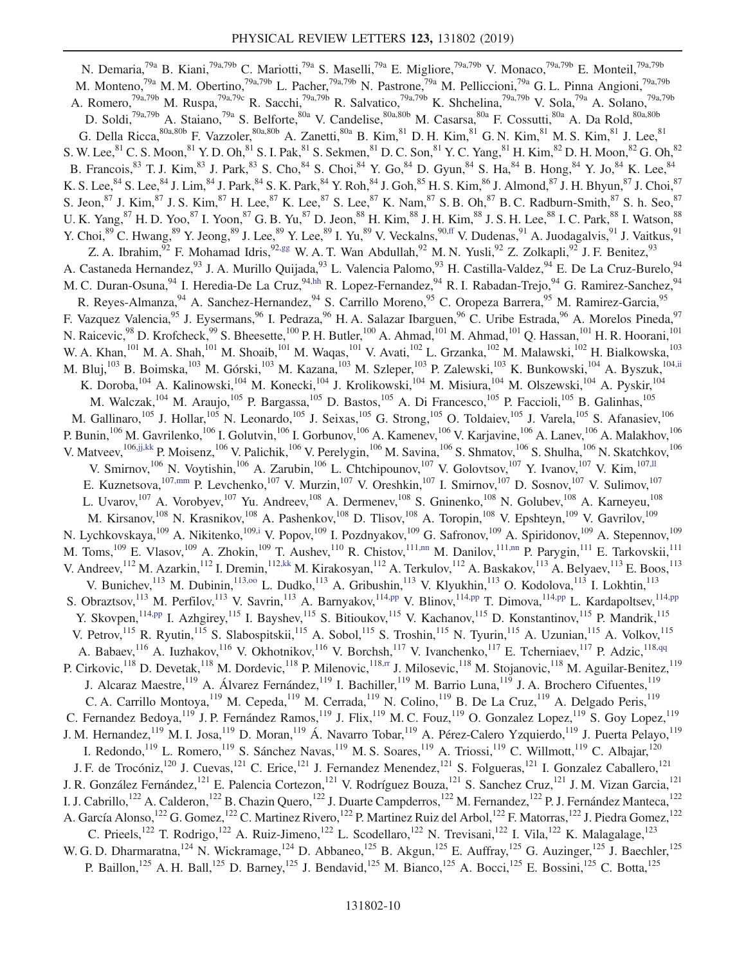<span id="page-9-12"></span><span id="page-9-11"></span><span id="page-9-10"></span><span id="page-9-9"></span><span id="page-9-8"></span><span id="page-9-7"></span><span id="page-9-6"></span><span id="page-9-5"></span><span id="page-9-4"></span><span id="page-9-3"></span><span id="page-9-2"></span><span id="page-9-1"></span><span id="page-9-0"></span>N. Demaria,<sup>79a</sup> B. Kiani,<sup>79a,79b</sup> C. Mariotti,<sup>79a</sup> S. Maselli,<sup>79a</sup> E. Migliore,<sup>79a,79b</sup> V. Monaco,<sup>79a,79b</sup> E. Monteil,<sup>79a,79b</sup> M. Monteno,<sup>79a</sup> M. M. Obertino,<sup>79a,79b</sup> L. Pacher,<sup>79a,79b</sup> N. Pastrone,<sup>79a</sup> M. Pelliccioni,<sup>79a</sup> G. L. Pinna Angioni,<sup>79a,79b</sup> A. Romero,<sup>79a,79b</sup> M. Ruspa,<sup>79a,79c</sup> R. Sacchi,<sup>79a,79b</sup> R. Salvatico,<sup>79a,79b</sup> K. Shchelina,<sup>79a,79b</sup> V. Sola,<sup>79a</sup> A. Solano,<sup>79a,79b</sup> D. Soldi,  $^{79a,79b}$  A. Staiano,  $^{79a}$  S. Belforte,  $^{80a}$  V. Candelise,  $^{80a,80b}$  M. Casarsa,  $^{80a}$  F. Cossutti,  $^{80a}$  A. Da Rold,  $^{80a,80b}$ G. Della Ricca,  $80a,80b$  F. Vazzoler,  $80a,80b$  A. Zanetti,  $80a$  B. Kim,  $81$  D. H. Kim,  $81$  G. N. Kim,  $81$  M. S. Kim,  $81$  J. Lee,  $81$ S. W. Lee,  ${}^{81}$  C. S. Moon,  ${}^{81}$  Y. D. Oh,  ${}^{81}$  S. I. Pak,  ${}^{81}$  S. Sekmen,  ${}^{81}$  D. C. Son,  ${}^{81}$  Y. C. Yang,  ${}^{81}$  H. Kim,  ${}^{82}$  D. H. Moon,  ${}^{82}$  G. Oh,  ${}^{82}$ B. Francois,  $^{83}$  T. J. Kim,  $^{83}$  J. Park,  $^{83}$  S. Cho,  $^{84}$  S. Choi,  $^{84}$  Y. Go,  $^{84}$  D. Gyun,  $^{84}$  S. Ha,  $^{84}$  B. Hong,  $^{84}$  Y. Jo,  $^{84}$  K. Lee,  $^{84}$ K. S. Lee,  $^{84}$  S. Lee,  $^{84}$  J. Lim,  $^{84}$  J. Park,  $^{84}$  S. K. Park,  $^{84}$  Y. Roh,  $^{84}$  J. Goh,  $^{85}$  H. S. Kim,  $^{86}$  J. Almond,  $^{87}$  J. H. Bhyun,  $^{87}$  J. Choi,  $^{87}$ S. Jeon,  $^{87}$  J. Kim,  $^{87}$  J. S. Kim,  $^{87}$  H. Lee,  $^{87}$  K. Lee,  $^{87}$  S. Lee,  $^{87}$  K. Nam, $^{87}$  S. B. Oh,  $^{87}$  B. C. Radburn-Smith,  $^{87}$  S. h. Seo,  $^{87}$ U. K. Yang, <sup>87</sup> H. D. Yoo, <sup>87</sup> I. Yoon, <sup>87</sup> G. B. Yu, <sup>87</sup> D. Jeon, <sup>88</sup> H. Kim, <sup>88</sup> J. H. Kim, <sup>88</sup> J. S. H. Lee, <sup>88</sup> I. C. Park, <sup>88</sup> I. Watson, <sup>88</sup> Y. Choi, <sup>89</sup> C. Hwang, <sup>89</sup> Y. Jeong, <sup>89</sup> J. Lee, <sup>89</sup> Y. Lee, <sup>89</sup> I. Yu, <sup>89</sup> V. Veckalns, <sup>90[,ff](#page-16-29)</sup> V. Dudenas, <sup>91</sup> A. Juodagalvis, <sup>91</sup> J. Vaitkus, <sup>91</sup> Z. A. Ibrahim,  $92$  F. Mohamad Idris,  $92,gg$  $92,gg$  W. A. T. Wan Abdullah,  $92$  M. N. Yusli,  $92$  Z. Zolkapli,  $92$  J. F. Benitez,  $93$ A. Castaneda Hernandez,<sup>93</sup> J. A. Murillo Quijada,<sup>93</sup> L. Valencia Palomo,<sup>93</sup> H. Castilla-Valdez,<sup>94</sup> E. De La Cruz-Burelo,<sup>94</sup> M. C. Duran-Osuna, <sup>94</sup> I. Heredia-De La Cruz, <sup>94[,hh](#page-16-31)</sup> R. Lopez-Fernandez, <sup>94</sup> R. I. Rabadan-Trejo, <sup>94</sup> G. Ramirez-Sanchez, <sup>94</sup> R. Reyes-Almanza, <sup>94</sup> A. Sanchez-Hernandez, <sup>94</sup> S. Carrillo Moreno, <sup>95</sup> C. Oropeza Barrera, <sup>95</sup> M. Ramirez-Garcia, <sup>95</sup> F. Vazquez Valencia,<sup>95</sup> J. Eysermans,<sup>96</sup> I. Pedraza,<sup>96</sup> H. A. Salazar Ibarguen,<sup>96</sup> C. Uribe Estrada,<sup>96</sup> A. Morelos Pineda,<sup>97</sup> N. Raicevic,<sup>98</sup> D. Krofcheck,<sup>99</sup> S. Bheesette,<sup>100</sup> P. H. Butler,<sup>100</sup> A. Ahmad,<sup>101</sup> M. Ahmad,<sup>101</sup> Q. Hassan,<sup>101</sup> H. R. Hoorani,<sup>101</sup> N. W. A. Khan,<sup>101</sup> M. A. Shah,<sup>101</sup> M. Shoaib,<sup>101</sup> M. Waqas,<sup>101</sup> V. Avati,<sup>102</sup> L. Grzanka,<sup>102</sup> M. Malawski,<sup>102</sup> H. Bialkowska,<sup>103</sup> M. Bluj,<sup>103</sup> B. Boimska,<sup>103</sup> M. Górski,<sup>103</sup> M. Kazana,<sup>103</sup> M. Szleper,<sup>103</sup> P. Zalewski,<sup>103</sup> K. Bunkowski,<sup>104</sup> A. Byszuk,<sup>10[4,ii](#page-16-32)</sup> K. Doroba,<sup>104</sup> A. Kalinowski,<sup>104</sup> M. Konecki,<sup>104</sup> J. Krolikowski,<sup>104</sup> M. Misiura,<sup>104</sup> M. Olszewski,<sup>104</sup> A. Pyskir,<sup>104</sup> M. Walczak,<sup>104</sup> M. Araujo,<sup>105</sup> P. Bargassa,<sup>105</sup> D. Bastos,<sup>105</sup> A. Di Francesco,<sup>105</sup> P. Faccioli,<sup>105</sup> B. Galinhas,<sup>105</sup> M. Gallinaro,<sup>105</sup> J. Hollar,<sup>105</sup> N. Leonardo,<sup>105</sup> J. Seixas,<sup>105</sup> G. Strong,<sup>105</sup> O. Toldaiev,<sup>105</sup> J. Varela,<sup>105</sup> S. Afanasiev,<sup>106</sup> P. Bunin,<sup>106</sup> M. Gavrilenko,<sup>106</sup> I. Golutvin,<sup>106</sup> I. Gorbunov,<sup>106</sup> A. Kamenev,<sup>106</sup> V. Karjavine,<sup>106</sup> A. Lanev,<sup>106</sup> A. Malakhov,<sup>106</sup> V. Matveev, <sup>106[,jj,kk](#page-16-33)</sup> P. Moisenz, <sup>106</sup> V. Palichik, <sup>106</sup> V. Perelygin, <sup>106</sup> M. Savina, <sup>106</sup> S. Shmatov, <sup>106</sup> S. Shulha, <sup>106</sup> N. Skatchkov, <sup>106</sup> V. Smirnov,<sup>106</sup> N. Voytishin,<sup>106</sup> A. Zarubin,<sup>106</sup> L. Chtchipounov,<sup>107</sup> V. Golovtsov,<sup>107</sup> Y. Ivanov,<sup>107</sup> V. Kim,<sup>107,11</sup> E. Kuznetsova,<sup>10[7,mm](#page-16-35)</sup> P. Levchenko,<sup>107</sup> V. Murzin,<sup>107</sup> V. Oreshkin,<sup>107</sup> I. Smirnov,<sup>107</sup> D. Sosnov,<sup>107</sup> V. Sulimov,<sup>107</sup> L. Uvarov,<sup>107</sup> A. Vorobyev,<sup>107</sup> Yu. Andreev,<sup>108</sup> A. Dermenev,<sup>108</sup> S. Gninenko,<sup>108</sup> N. Golubev,<sup>108</sup> A. Karneyeu,<sup>108</sup> M. Kirsanov,<sup>108</sup> N. Krasnikov,<sup>108</sup> A. Pashenkov,<sup>108</sup> D. Tlisov,<sup>108</sup> A. Toropin,<sup>108</sup> V. Epshteyn,<sup>109</sup> V. Gavrilov,<sup>109</sup> N. Lychkovskaya,<sup>109</sup> A. Nikitenko,<sup>10[9,i](#page-16-8)</sup> V. Popov,<sup>109</sup> I. Pozdnyakov,<sup>109</sup> G. Safronov,<sup>109</sup> A. Spiridonov,<sup>109</sup> A. Stepennov,<sup>109</sup> M. Toms,<sup>109</sup> E. Vlasov,<sup>109</sup> A. Zhokin,<sup>109</sup> T. Aushev,<sup>110</sup> R. Chistov,<sup>111[,nn](#page-16-36)</sup> M. Danilov,<sup>111,nn</sup> P. Parygin,<sup>111</sup> E. Tarkovskii,<sup>111</sup> V. Andreev, <sup>112</sup> M. Azarkin, <sup>112</sup> I. Dremin, <sup>11[2,kk](#page-16-37)</sup> M. Kirakosyan, <sup>112</sup> A. Terkulov, <sup>112</sup> A. Baskakov, <sup>113</sup> A. Belyaev, <sup>113</sup> E. Boos, <sup>113</sup> V. Bunichev,<sup>113</sup> M. Dubinin,<sup>113,00</sup> L. Dudko,<sup>113</sup> A. Gribushin,<sup>113</sup> V. Klyukhin,<sup>113</sup> O. Kodolova,<sup>113</sup> I. Lokhtin,<sup>113</sup> S. Obraztsov,<sup>113</sup> M. Perfilov,<sup>113</sup> V. Savrin,<sup>113</sup> A. Barnyakov,<sup>114[,pp](#page-17-1)</sup> V. Blinov,<sup>114,pp</sup> T. Dimova,<sup>114,pp</sup> L. Kardapoltsev,<sup>114,pp</sup> Y. Skovpen,<sup>11[4,pp](#page-17-1)</sup> I. Azhgirey,<sup>115</sup> I. Bayshev,<sup>115</sup> S. Bitioukov,<sup>115</sup> V. Kachanov,<sup>115</sup> D. Konstantinov,<sup>115</sup> P. Mandrik,<sup>115</sup> V. Petrov,<sup>115</sup> R. Ryutin,<sup>115</sup> S. Slabospitskii,<sup>115</sup> A. Sobol,<sup>115</sup> S. Troshin,<sup>115</sup> N. Tyurin,<sup>115</sup> A. Uzunian,<sup>115</sup> A. Volkov,<sup>115</sup> A. Babaev, <sup>116</sup> A. Iuzhakov, <sup>116</sup> V. Okhotnikov, <sup>116</sup> V. Borchsh, <sup>117</sup> V. Ivanchenko, <sup>117</sup> E. Tcherniaev, <sup>117</sup> P. Adzic, <sup>118[,qq](#page-17-2)</sup> P. Cirkovic,<sup>118</sup> D. Devetak,<sup>118</sup> M. Dordevic,<sup>118</sup> P. Milenovic,<sup>118[,rr](#page-17-3)</sup> J. Milosevic,<sup>118</sup> M. Stojanovic,<sup>118</sup> M. Aguilar-Benitez,<sup>119</sup> J. Alcaraz Maestre,<sup>119</sup> A. Álvarez Fernández,<sup>119</sup> I. Bachiller,<sup>119</sup> M. Barrio Luna,<sup>119</sup> J. A. Brochero Cifuentes,<sup>119</sup> C. A. Carrillo Montoya, <sup>119</sup> M. Cepeda, <sup>119</sup> M. Cerrada, <sup>119</sup> N. Colino, <sup>119</sup> B. De La Cruz, <sup>119</sup> A. Delgado Peris, <sup>119</sup> C. Fernandez Bedoya,<sup>119</sup> J. P. Fernández Ramos,<sup>119</sup> J. Flix,<sup>119</sup> M. C. Fouz,<sup>119</sup> O. Gonzalez Lopez,<sup>119</sup> S. Goy Lopez,<sup>119</sup> J. M. Hernandez, <sup>119</sup> M. I. Josa, <sup>119</sup> D. Moran, <sup>119</sup> Á. Navarro Tobar, <sup>119</sup> A. Pérez-Calero Yzquierdo, <sup>119</sup> J. Puerta Pelayo, <sup>119</sup> I. Redondo,<sup>119</sup> L. Romero,<sup>119</sup> S. Sánchez Navas,<sup>119</sup> M. S. Soares,<sup>119</sup> A. Triossi,<sup>119</sup> C. Willmott,<sup>119</sup> C. Albajar,<sup>120</sup> J. F. de Trocóniz,<sup>120</sup> J. Cuevas,<sup>121</sup> C. Erice,<sup>121</sup> J. Fernandez Menendez,<sup>121</sup> S. Folgueras,<sup>121</sup> I. Gonzalez Caballero,<sup>121</sup> J. R. González Fernández, <sup>121</sup> E. Palencia Cortezon, <sup>121</sup> V. Rodríguez Bouza, <sup>121</sup> S. Sanchez Cruz, <sup>121</sup> J. M. Vizan Garcia, <sup>121</sup> I. J. Cabrillo,<sup>122</sup> A. Calderon,<sup>122</sup> B. Chazin Quero,<sup>122</sup> J. Duarte Campderros,<sup>122</sup> M. Fernandez,<sup>122</sup> P. J. Fernández Manteca,<sup>122</sup> A. García Alonso,<sup>122</sup> G. Gomez,<sup>122</sup> C. Martinez Rivero,<sup>122</sup> P. Martinez Ruiz del Arbol,<sup>122</sup> F. Matorras,<sup>122</sup> J. Piedra Gomez,<sup>122</sup> C. Prieels,<sup>122</sup> T. Rodrigo,<sup>122</sup> A. Ruiz-Jimeno,<sup>122</sup> L. Scodellaro,<sup>122</sup> N. Trevisani,<sup>122</sup> I. Vila,<sup>122</sup> K. Malagalage,<sup>123</sup> W. G. D. Dharmaratna,<sup>124</sup> N. Wickramage,<sup>124</sup> D. Abbaneo,<sup>125</sup> B. Akgun,<sup>125</sup> E. Auffray,<sup>125</sup> G. Auzinger,<sup>125</sup> J. Baechler,<sup>125</sup> P. Baillon,<sup>125</sup> A. H. Ball,<sup>125</sup> D. Barney,<sup>125</sup> J. Bendavid,<sup>125</sup> M. Bianco,<sup>125</sup> A. Bocci,<sup>125</sup> E. Bossini,<sup>125</sup> C. Botta,<sup>125</sup>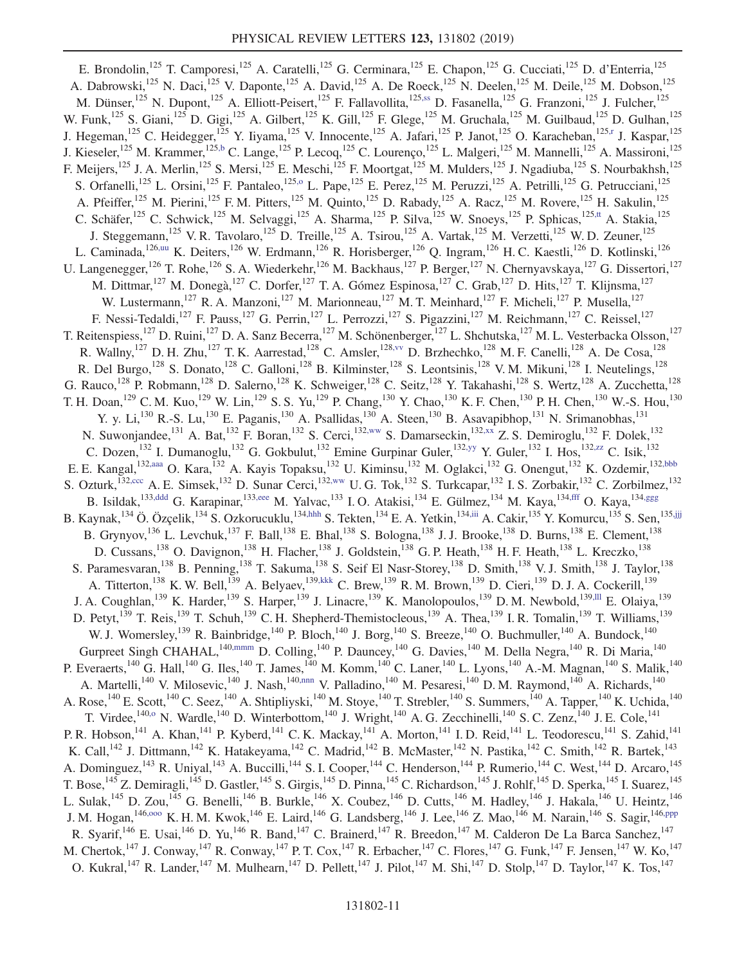<span id="page-10-14"></span><span id="page-10-13"></span><span id="page-10-12"></span><span id="page-10-11"></span><span id="page-10-10"></span><span id="page-10-9"></span><span id="page-10-8"></span><span id="page-10-7"></span><span id="page-10-6"></span><span id="page-10-5"></span><span id="page-10-4"></span><span id="page-10-3"></span><span id="page-10-2"></span><span id="page-10-1"></span><span id="page-10-0"></span>E. Brondolin,<sup>125</sup> T. Camporesi,<sup>125</sup> A. Caratelli,<sup>125</sup> G. Cerminara,<sup>125</sup> E. Chapon,<sup>125</sup> G. Cucciati,<sup>125</sup> D. d'Enterria,<sup>125</sup> A. Dabrowski,<sup>125</sup> N. Daci,<sup>125</sup> V. Daponte,<sup>125</sup> A. David,<sup>125</sup> A. De Roeck,<sup>125</sup> N. Deelen,<sup>125</sup> M. Deile,<sup>125</sup> M. Dobson,<sup>125</sup> M. Dünser,<sup>125</sup> N. Dupont,<sup>125</sup> A. Elliott-Peisert,<sup>125</sup> F. Fallavollita,<sup>12[5,ss](#page-17-4)</sup> D. Fasanella,<sup>125</sup> G. Franzoni,<sup>125</sup> J. Fulcher,<sup>125</sup> W. Funk,<sup>125</sup> S. Giani,<sup>125</sup> D. Gigi,<sup>125</sup> A. Gilbert,<sup>125</sup> K. Gill,<sup>125</sup> F. Glege,<sup>125</sup> M. Gruchala,<sup>125</sup> M. Guilbaud,<sup>125</sup> D. Gulhan,<sup>125</sup> J. Hegeman,<sup>125</sup> C. Heidegger,<sup>125</sup> Y. Iiyama,<sup>125</sup> V. Innocente,<sup>125</sup> A. Jafari,<sup>125</sup> P. Janot,<sup>125</sup> O. Karacheban,<sup>125[,r](#page-16-16)</sup> J. Kaspar,<sup>125</sup> J. Kieseler,<sup>125</sup> M. Krammer,<sup>12[5,b](#page-16-1)</sup> C. Lange,<sup>125</sup> P. Lecoq,<sup>125</sup> C. Lourenço,<sup>125</sup> L. Malgeri,<sup>125</sup> M. Mannelli,<sup>125</sup> A. Massironi,<sup>125</sup> F. Meijers,<sup>125</sup> J. A. Merlin,<sup>125</sup> S. Mersi,<sup>125</sup> E. Meschi,<sup>125</sup> F. Moortgat,<sup>125</sup> M. Mulders,<sup>125</sup> J. Ngadiuba,<sup>125</sup> S. Nourbakhsh,<sup>125</sup> S. Orfanelli,<sup>125</sup> L. Orsini,<sup>125</sup> F. Pantaleo,<sup>12[5,o](#page-16-13)</sup> L. Pape,<sup>125</sup> E. Perez,<sup>125</sup> M. Peruzzi,<sup>125</sup> A. Petrilli,<sup>125</sup> G. Petrucciani,<sup>125</sup> A. Pfeiffer,<sup>125</sup> M. Pierini,<sup>125</sup> F. M. Pitters,<sup>125</sup> M. Quinto,<sup>125</sup> D. Rabady,<sup>125</sup> A. Racz,<sup>125</sup> M. Rovere,<sup>125</sup> H. Sakulin,<sup>125</sup> C. Schäfer,<sup>125</sup> C. Schwick,<sup>125</sup> M. Selvaggi,<sup>125</sup> A. Sharma,<sup>125</sup> P. Silva,<sup>125</sup> W. Snoeys,<sup>125</sup> P. Sphicas,<sup>125[,tt](#page-17-5)</sup> A. Stakia,<sup>125</sup> J. Steggemann,<sup>125</sup> V. R. Tavolaro,<sup>125</sup> D. Treille,<sup>125</sup> A. Tsirou,<sup>125</sup> A. Vartak,<sup>125</sup> M. Verzetti,<sup>125</sup> W. D. Zeuner,<sup>125</sup> L. Caminada,<sup>126[,uu](#page-17-6)</sup> K. Deiters,<sup>126</sup> W. Erdmann,<sup>126</sup> R. Horisberger,<sup>126</sup> Q. Ingram,<sup>126</sup> H. C. Kaestli,<sup>126</sup> D. Kotlinski,<sup>126</sup> U. Langenegger,<sup>126</sup> T. Rohe,<sup>126</sup> S. A. Wiederkehr,<sup>126</sup> M. Backhaus,<sup>127</sup> P. Berger,<sup>127</sup> N. Chernyavskaya,<sup>127</sup> G. Dissertori,<sup>127</sup> M. Dittmar,  $^{127}$  M. Donegà,  $^{127}$  C. Dorfer,  $^{127}$  T. A. Gómez Espinosa,  $^{127}$  C. Grab,  $^{127}$  D. Hits,  $^{127}$  T. Klijnsma,  $^{127}$ W. Lustermann,<sup>127</sup> R. A. Manzoni,<sup>127</sup> M. Marionneau,<sup>127</sup> M. T. Meinhard,<sup>127</sup> F. Micheli,<sup>127</sup> P. Musella,<sup>127</sup> F. Nessi-Tedaldi,<sup>127</sup> F. Pauss,<sup>127</sup> G. Perrin,<sup>127</sup> L. Perrozzi,<sup>127</sup> S. Pigazzini,<sup>127</sup> M. Reichmann,<sup>127</sup> C. Reissel,<sup>127</sup> T. Reitenspiess,<sup>127</sup> D. Ruini,<sup>127</sup> D. A. Sanz Becerra,<sup>127</sup> M. Schönenberger,<sup>127</sup> L. Shchutska,<sup>127</sup> M. L. Vesterbacka Olsson,<sup>127</sup> R. Wallny,<sup>127</sup> D. H. Zhu,<sup>127</sup> T. K. Aarrestad,<sup>128</sup> C. Amsler,<sup>12[8,vv](#page-17-7)</sup> D. Brzhechko,<sup>128</sup> M. F. Canelli,<sup>128</sup> A. De Cosa,<sup>128</sup> R. Del Burgo,<sup>128</sup> S. Donato,<sup>128</sup> C. Galloni,<sup>128</sup> B. Kilminster,<sup>128</sup> S. Leontsinis,<sup>128</sup> V. M. Mikuni,<sup>128</sup> I. Neutelings,<sup>128</sup> G. Rauco,<sup>128</sup> P. Robmann,<sup>128</sup> D. Salerno,<sup>128</sup> K. Schweiger,<sup>128</sup> C. Seitz,<sup>128</sup> Y. Takahashi,<sup>128</sup> S. Wertz,<sup>128</sup> A. Zucchetta,<sup>128</sup> T. H. Doan,<sup>129</sup> C. M. Kuo,<sup>129</sup> W. Lin,<sup>129</sup> S. S. Yu,<sup>129</sup> P. Chang,<sup>130</sup> Y. Chao,<sup>130</sup> K. F. Chen,<sup>130</sup> P. H. Chen,<sup>130</sup> W.-S. Hou,<sup>130</sup> Y. y. Li,<sup>130</sup> R.-S. Lu,<sup>130</sup> E. Paganis,<sup>130</sup> A. Psallidas,<sup>130</sup> A. Steen,<sup>130</sup> B. Asavapibhop,<sup>131</sup> N. Srimanobhas,<sup>131</sup> N. Suwonjandee,<sup>131</sup> A. Bat,<sup>132</sup> F. Boran,<sup>132</sup> S. Cerci,<sup>13[2,ww](#page-17-8)</sup> S. Damarseckin,<sup>132[,xx](#page-17-9)</sup> Z. S. Demiroglu,<sup>132</sup> F. Dolek,<sup>132</sup> C. Dozen,<sup>132</sup> I. Dumanoglu,<sup>132</sup> G. Gokbulut,<sup>132</sup> Emine Gurpinar Guler,<sup>132[,yy](#page-17-10)</sup> Y. Guler,<sup>132</sup> I. Hos,<sup>132[,zz](#page-17-11)</sup> C. Isik,<sup>132</sup> E. E. Kangal,<sup>132[,aaa](#page-17-12)</sup> O. Kara,<sup>132</sup> A. Kayis Topaksu,<sup>132</sup> U. Kiminsu,<sup>132</sup> M. Oglakci,<sup>132</sup> G. Onengut,<sup>132</sup> K. Ozdemir,<sup>132[,bbb](#page-17-13)</sup> S. Ozturk,<sup>132[,ccc](#page-17-14)</sup> A. E. Simsek,<sup>132</sup> D. Sunar Cerci,<sup>13[2,ww](#page-17-8)</sup> U. G. Tok,<sup>132</sup> S. Turkcapar,<sup>132</sup> I. S. Zorbakir,<sup>132</sup> C. Zorbilmez,<sup>132</sup> B. Isildak,<sup>133[,ddd](#page-17-15)</sup> G. Karapinar,<sup>13[3,eee](#page-17-16)</sup> M. Yalvac,<sup>133</sup> I.O. Atakisi,<sup>134</sup> E. Gülmez,<sup>134</sup> M. Kaya,<sup>13[4,fff](#page-17-17)</sup> O. Kaya,<sup>13[4,ggg](#page-17-18)</sup> B. Kaynak,<sup>134</sup> Ö. Özçelik,<sup>134</sup> S. Ozkorucuklu,<sup>13[4,hhh](#page-17-19)</sup> S. Tekten,<sup>134</sup> E. A. Yetkin,<sup>13[4,iii](#page-17-20)</sup> A. Cakir,<sup>135</sup> Y. Komurcu,<sup>135</sup> S. Sen,<sup>135,ijj</sup> B. Grynyov,  $^{136}$  L. Levchuk,  $^{137}$  F. Ball,  $^{138}$  E. Bhal,  $^{138}$  S. Bologna,  $^{138}$  J. J. Brooke,  $^{138}$  D. Burns,  $^{138}$  E. Clement,  $^{138}$ D. Cussans,<sup>138</sup> O. Davignon,<sup>138</sup> H. Flacher,<sup>138</sup> J. Goldstein,<sup>138</sup> G. P. Heath,<sup>138</sup> H. F. Heath,<sup>138</sup> L. Kreczko,<sup>138</sup> S. Paramesvaran,<sup>138</sup> B. Penning,<sup>138</sup> T. Sakuma,<sup>138</sup> S. Seif El Nasr-Storey,<sup>138</sup> D. Smith,<sup>138</sup> V. J. Smith,<sup>138</sup> J. Taylor,<sup>138</sup> A. Titterton,<sup>138</sup> K. W. Bell,<sup>139</sup> A. Belyaev,<sup>13[9,kkk](#page-17-22)</sup> C. Brew,<sup>139</sup> R. M. Brown,<sup>139</sup> D. Cieri,<sup>139</sup> D. J. A. Cockerill,<sup>139</sup> J. A. Coughlan,<sup>139</sup> K. Harder,<sup>139</sup> S. Harper,<sup>139</sup> J. Linacre,<sup>139</sup> K. Manolopoulos,<sup>139</sup> D. M. Newbold,<sup>13[9,lll](#page-17-23)</sup> E. Olaiya,<sup>139</sup> B. D. Petyt,<sup>139</sup> T. Reis,<sup>139</sup> T. Schuh,<sup>139</sup> C. H. Shepherd-Themistocleous,<sup>139</sup> A. Thea,<sup>139</sup> I. R. Tomalin,<sup>139</sup> T. Williams,<sup>139</sup> W. J. Womersley,<sup>139</sup> R. Bainbridge,<sup>140</sup> P. Bloch,<sup>140</sup> J. Borg,<sup>140</sup> S. Breeze,<sup>140</sup> O. Buchmuller,<sup>140</sup> A. Bundock,<sup>140</sup> Gurpreet Singh CHAHAL,<sup>14[0,mmm](#page-17-24)</sup> D. Colling,<sup>140</sup> P. Dauncey,<sup>140</sup> G. Davies,<sup>140</sup> M. Della Negra,<sup>140</sup> R. Di Maria,<sup>140</sup> P. Everaerts,<sup>140</sup> G. Hall,<sup>140</sup> G. Iles,<sup>140</sup> T. James,<sup>140</sup> M. Komm,<sup>140</sup> C. Laner,<sup>140</sup> L. Lyons,<sup>140</sup> A.-M. Magnan,<sup>140</sup> S. Malik,<sup>140</sup> A. Martelli,<sup>140</sup> V. Milosevic,<sup>140</sup> J. Nash,<sup>140[,nnn](#page-17-25)</sup> V. Palladino,<sup>140</sup> M. Pesaresi,<sup>140</sup> D. M. Raymond,<sup>140</sup> A. Richards,<sup>140</sup> A. Rose,<sup>140</sup> E. Scott,<sup>140</sup> C. Seez,<sup>140</sup> A. Shtipliyski,<sup>140</sup> M. Stoye,<sup>140</sup> T. Strebler,<sup>140</sup> S. Summers,<sup>140</sup> A. Tapper,<sup>140</sup> K. Uchida,<sup>140</sup> T. Virdee,<sup>14[0,o](#page-16-13)</sup> N. Wardle,<sup>140</sup> D. Winterbottom,<sup>140</sup> J. Wright,<sup>140</sup> A. G. Zecchinelli,<sup>140</sup> S. C. Zenz,<sup>140</sup> J. E. Cole,<sup>141</sup> P. R. Hobson,<sup>141</sup> A. Khan,<sup>141</sup> P. Kyberd,<sup>141</sup> C. K. Mackay,<sup>141</sup> A. Morton,<sup>141</sup> I. D. Reid,<sup>141</sup> L. Teodorescu,<sup>141</sup> S. Zahid,<sup>141</sup> K. Call,<sup>142</sup> J. Dittmann,<sup>142</sup> K. Hatakeyama,<sup>142</sup> C. Madrid,<sup>142</sup> B. McMaster,<sup>142</sup> N. Pastika,<sup>142</sup> C. Smith,<sup>142</sup> R. Bartek,<sup>143</sup> A. Dominguez,<sup>143</sup> R. Uniyal,<sup>143</sup> A. Buccilli,<sup>144</sup> S. I. Cooper,<sup>144</sup> C. Henderson,<sup>144</sup> P. Rumerio,<sup>144</sup> C. West,<sup>144</sup> D. Arcaro,<sup>145</sup> T. Bose,<sup>145</sup> Z. Demiragli,<sup>145</sup> D. Gastler,<sup>145</sup> S. Girgis,<sup>145</sup> D. Pinna,<sup>145</sup> C. Richardson,<sup>145</sup> J. Rohlf,<sup>145</sup> D. Sperka,<sup>145</sup> I. Suarez,<sup>145</sup> L. Sulak,  $^{145}$  D. Zou,  $^{145}$  G. Benelli,  $^{146}$  B. Burkle,  $^{146}$  X. Coubez,  $^{146}$  D. Cutts,  $^{146}$  M. Hadley,  $^{146}$  J. Hakala,  $^{146}$  U. Heintz,  $^{146}$ J. M. Hogan,<sup>146,000</sup> K. H. M. Kwok,<sup>146</sup> E. Laird,<sup>146</sup> G. Landsberg,<sup>146</sup> J. Lee,<sup>146</sup> Z. Mao,<sup>146</sup> M. Narain,<sup>146</sup> S. Sagir,<sup>14[6,ppp](#page-17-27)</sup> R. Syarif,<sup>146</sup> E. Usai,<sup>146</sup> D. Yu,<sup>146</sup> R. Band,<sup>147</sup> C. Brainerd,<sup>147</sup> R. Breedon,<sup>147</sup> M. Calderon De La Barca Sanchez,<sup>147</sup> M. Chertok,<sup>147</sup> J. Conway,<sup>147</sup> R. Conway,<sup>147</sup> P. T. Cox,<sup>147</sup> R. Erbacher,<sup>147</sup> C. Flores,<sup>147</sup> G. Funk,<sup>147</sup> F. Jensen,<sup>147</sup> W. Ko,<sup>147</sup> O. Kukral,<sup>147</sup> R. Lander,<sup>147</sup> M. Mulhearn,<sup>147</sup> D. Pellett,<sup>147</sup> J. Pilot,<sup>147</sup> M. Shi,<sup>147</sup> D. Stolp,<sup>147</sup> D. Taylor,<sup>147</sup> K. Tos,<sup>147</sup>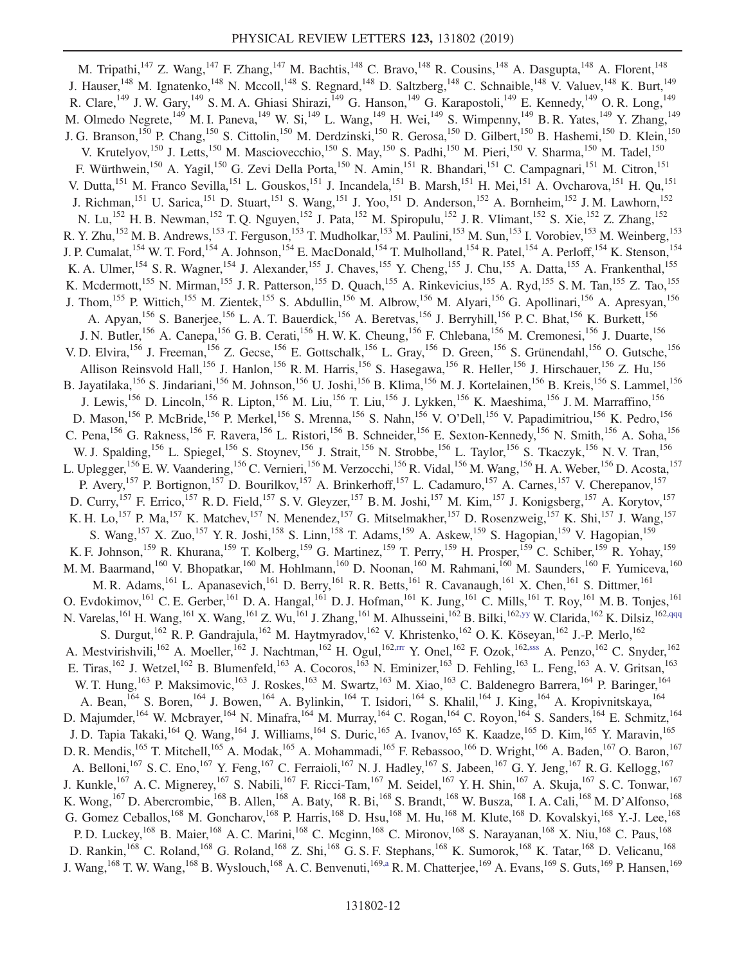<span id="page-11-1"></span><span id="page-11-0"></span>M. Tripathi,<sup>147</sup> Z. Wang,<sup>147</sup> F. Zhang,<sup>147</sup> M. Bachtis,<sup>148</sup> C. Bravo,<sup>148</sup> R. Cousins,<sup>148</sup> A. Dasgupta,<sup>148</sup> A. Florent,<sup>148</sup> J. Hauser,<sup>148</sup> M. Ignatenko,<sup>148</sup> N. Mccoll,<sup>148</sup> S. Regnard,<sup>148</sup> D. Saltzberg,<sup>148</sup> C. Schnaible,<sup>148</sup> V. Valuev,<sup>148</sup> K. Burt,<sup>149</sup> R. Clare, <sup>149</sup> J. W. Gary, <sup>149</sup> S. M. A. Ghiasi Shirazi, <sup>149</sup> G. Hanson, <sup>149</sup> G. Karapostoli, <sup>149</sup> E. Kennedy, <sup>149</sup> O. R. Long, <sup>149</sup> M. Olmedo Negrete,<sup>149</sup> M. I. Paneva,<sup>149</sup> W. Si,<sup>149</sup> L. Wang,<sup>149</sup> H. Wei,<sup>149</sup> S. Wimpenny,<sup>149</sup> B. R. Yates,<sup>149</sup> Y. Zhang,<sup>149</sup> J. G. Branson,<sup>150</sup> P. Chang,<sup>150</sup> S. Cittolin,<sup>150</sup> M. Derdzinski,<sup>150</sup> R. Gerosa,<sup>150</sup> D. Gilbert,<sup>150</sup> B. Hashemi,<sup>150</sup> D. Klein,<sup>150</sup> V. Krutelyov,<sup>150</sup> J. Letts,<sup>150</sup> M. Masciovecchio,<sup>150</sup> S. May,<sup>150</sup> S. Padhi,<sup>150</sup> M. Pieri,<sup>150</sup> V. Sharma,<sup>150</sup> M. Tadel,<sup>150</sup> F. Würthwein,<sup>150</sup> A. Yagil,<sup>150</sup> G. Zevi Della Porta,<sup>150</sup> N. Amin,<sup>151</sup> R. Bhandari,<sup>151</sup> C. Campagnari,<sup>151</sup> M. Citron,<sup>151</sup> V. Dutta, <sup>151</sup> M. Franco Sevilla, <sup>151</sup> L. Gouskos, <sup>151</sup> J. Incandela, <sup>151</sup> B. Marsh, <sup>151</sup> H. Mei, <sup>151</sup> A. Ovcharova, <sup>151</sup> H. Qu, <sup>151</sup> J. Richman,<sup>151</sup> U. Sarica,<sup>151</sup> D. Stuart,<sup>151</sup> S. Wang,<sup>151</sup> J. Yoo,<sup>151</sup> D. Anderson,<sup>152</sup> A. Bornheim,<sup>152</sup> J. M. Lawhorn,<sup>152</sup> N. Lu,<sup>152</sup> H. B. Newman,<sup>152</sup> T. Q. Nguyen,<sup>152</sup> J. Pata,<sup>152</sup> M. Spiropulu,<sup>152</sup> J. R. Vlimant,<sup>152</sup> S. Xie,<sup>152</sup> Z. Zhang,<sup>152</sup> R. Y. Zhu,<sup>152</sup> M. B. Andrews,<sup>153</sup> T. Ferguson,<sup>153</sup> T. Mudholkar,<sup>153</sup> M. Paulini,<sup>153</sup> M. Sun,<sup>153</sup> I. Vorobiev,<sup>153</sup> M. Weinberg,<sup>153</sup> J. P. Cumalat, <sup>154</sup> W. T. Ford, <sup>154</sup> A. Johnson, <sup>154</sup> E. MacDonald, <sup>154</sup> T. Mulholland, <sup>154</sup> R. Patel, <sup>154</sup> A. Perloff, <sup>154</sup> K. Stenson, <sup>154</sup> K. A. Ulmer,<sup>154</sup> S. R. Wagner,<sup>154</sup> J. Alexander,<sup>155</sup> J. Chaves,<sup>155</sup> Y. Cheng,<sup>155</sup> J. Chu,<sup>155</sup> A. Datta,<sup>155</sup> A. Frankenthal,<sup>155</sup> K. Mcdermott,<sup>155</sup> N. Mirman,<sup>155</sup> J. R. Patterson,<sup>155</sup> D. Quach,<sup>155</sup> A. Rinkevicius,<sup>155</sup> A. Ryd,<sup>155</sup> S. M. Tan,<sup>155</sup> Z. Tao,<sup>155</sup> J. Thom,<sup>155</sup> P. Wittich,<sup>155</sup> M. Zientek,<sup>155</sup> S. Abdullin,<sup>156</sup> M. Albrow,<sup>156</sup> M. Alyari,<sup>156</sup> G. Apollinari,<sup>156</sup> A. Apresyan,<sup>156</sup> A. Apyan,<sup>156</sup> S. Banerjee,<sup>156</sup> L. A. T. Bauerdick,<sup>156</sup> A. Beretvas,<sup>156</sup> J. Berryhill,<sup>156</sup> P. C. Bhat,<sup>156</sup> K. Burkett,<sup>156</sup> J. N. Butler,<sup>156</sup> A. Canepa,<sup>156</sup> G. B. Cerati,<sup>156</sup> H. W. K. Cheung,<sup>156</sup> F. Chlebana,<sup>156</sup> M. Cremonesi,<sup>156</sup> J. Duarte,<sup>156</sup> V. D. Elvira, <sup>156</sup> J. Freeman, <sup>156</sup> Z. Gecse, <sup>156</sup> E. Gottschalk, <sup>156</sup> L. Gray, <sup>156</sup> D. Green, <sup>156</sup> S. Grünendahl, <sup>156</sup> O. Gutsche, <sup>156</sup> Allison Reinsvold Hall,<sup>156</sup> J. Hanlon,<sup>156</sup> R. M. Harris,<sup>156</sup> S. Hasegawa,<sup>156</sup> R. Heller,<sup>156</sup> J. Hirschauer,<sup>156</sup> Z. Hu,<sup>156</sup> B. Jayatilaka,<sup>156</sup> S. Jindariani,<sup>156</sup> M. Johnson,<sup>156</sup> U. Joshi,<sup>156</sup> B. Klima,<sup>156</sup> M. J. Kortelainen,<sup>156</sup> B. Kreis,<sup>156</sup> S. Lammel,<sup>156</sup> J. Lewis,<sup>156</sup> D. Lincoln,<sup>156</sup> R. Lipton,<sup>156</sup> M. Liu,<sup>156</sup> T. Liu,<sup>156</sup> J. Lykken,<sup>156</sup> K. Maeshima,<sup>156</sup> J. M. Marraffino,<sup>156</sup> D. Mason,<sup>156</sup> P. McBride,<sup>156</sup> P. Merkel,<sup>156</sup> S. Mrenna,<sup>156</sup> S. Nahn,<sup>156</sup> V. O'Dell,<sup>156</sup> V. Papadimitriou,<sup>156</sup> K. Pedro,<sup>156</sup> C. Pena,<sup>156</sup> G. Rakness,<sup>156</sup> F. Ravera,<sup>156</sup> L. Ristori,<sup>156</sup> B. Schneider,<sup>156</sup> E. Sexton-Kennedy,<sup>156</sup> N. Smith,<sup>156</sup> A. Soha,<sup>156</sup> W. J. Spalding,<sup>156</sup> L. Spiegel,<sup>156</sup> S. Stoynev,<sup>156</sup> J. Strait,<sup>156</sup> N. Strobbe,<sup>156</sup> L. Taylor,<sup>156</sup> S. Tkaczyk,<sup>156</sup> N. V. Tran,<sup>156</sup> L. Uplegger,<sup>156</sup> E. W. Vaandering,<sup>156</sup> C. Vernieri,<sup>156</sup> M. Verzocchi,<sup>156</sup> R. Vidal,<sup>156</sup> M. Wang,<sup>156</sup> H. A. Weber,<sup>156</sup> D. Acosta,<sup>157</sup> P. Avery,<sup>157</sup> P. Bortignon,<sup>157</sup> D. Bourilkov,<sup>157</sup> A. Brinkerhoff,<sup>157</sup> L. Cadamuro,<sup>157</sup> A. Carnes,<sup>157</sup> V. Cherepanov,<sup>157</sup> D. Curry, <sup>157</sup> F. Errico, <sup>157</sup> R. D. Field, <sup>157</sup> S. V. Gleyzer, <sup>157</sup> B. M. Joshi, <sup>157</sup> M. Kim, <sup>157</sup> J. Konigsberg, <sup>157</sup> A. Korytov, <sup>157</sup> K. H. Lo,<sup>157</sup> P. Ma,<sup>157</sup> K. Matchev,<sup>157</sup> N. Menendez,<sup>157</sup> G. Mitselmakher,<sup>157</sup> D. Rosenzweig,<sup>157</sup> K. Shi,<sup>157</sup> J. Wang,<sup>157</sup> S. Wang, <sup>157</sup> X. Zuo, <sup>157</sup> Y. R. Joshi, <sup>158</sup> S. Linn, <sup>158</sup> T. Adams, <sup>159</sup> A. Askew, <sup>159</sup> S. Hagopian, <sup>159</sup> V. Hagopian, <sup>159</sup> K. F. Johnson,<sup>159</sup> R. Khurana,<sup>159</sup> T. Kolberg,<sup>159</sup> G. Martinez,<sup>159</sup> T. Perry,<sup>159</sup> H. Prosper,<sup>159</sup> C. Schiber,<sup>159</sup> R. Yohay,<sup>159</sup> M. M. Baarmand,<sup>160</sup> V. Bhopatkar,<sup>160</sup> M. Hohlmann,<sup>160</sup> D. Noonan,<sup>160</sup> M. Rahmani,<sup>160</sup> M. Saunders,<sup>160</sup> F. Yumiceva,<sup>160</sup> M. R. Adams, <sup>161</sup> L. Apanasevich, <sup>161</sup> D. Berry, <sup>161</sup> R. R. Betts, <sup>161</sup> R. Cavanaugh, <sup>161</sup> X. Chen, <sup>161</sup> S. Dittmer, <sup>161</sup> O. Evdokimov,<sup>161</sup> C. E. Gerber,<sup>161</sup> D. A. Hangal,<sup>161</sup> D. J. Hofman,<sup>161</sup> K. Jung,<sup>161</sup> C. Mills,<sup>161</sup> T. Roy,<sup>161</sup> M. B. Tonjes,<sup>161</sup> N. Varelas,<sup>161</sup> H. Wang,<sup>161</sup> X. Wang,<sup>161</sup> Z. Wu,<sup>161</sup> J. Zhang,<sup>161</sup> M. Alhusseini,<sup>162</sup> B. Bilki,<sup>162[,yy](#page-17-10)</sup> W. Clarida,<sup>162</sup> K. Dilsiz,<sup>162[,qqq](#page-17-28)</sup> S. Durgut,<sup>162</sup> R. P. Gandrajula,<sup>162</sup> M. Haytmyradov,<sup>162</sup> V. Khristenko,<sup>162</sup> O. K. Köseyan,<sup>162</sup> J.-P. Merlo,<sup>162</sup> A. Mestvirishvili,<sup>162</sup> A. Moeller,<sup>162</sup> J. Nachtman,<sup>162</sup> H. Ogul,<sup>162[,rrr](#page-17-29)</sup> Y. Onel,<sup>162</sup> F. Ozok,<sup>162[,sss](#page-17-30)</sup> A. Penzo,<sup>162</sup> C. Snyder,<sup>162</sup> E. Tiras,<sup>162</sup> J. Wetzel,<sup>162</sup> B. Blumenfeld,<sup>163</sup> A. Cocoros,<sup>163</sup> N. Eminizer,<sup>163</sup> D. Fehling,<sup>163</sup> L. Feng,<sup>163</sup> A. V. Gritsan,<sup>163</sup> W. T. Hung,<sup>163</sup> P. Maksimovic,<sup>163</sup> J. Roskes,<sup>163</sup> M. Swartz,<sup>163</sup> M. Xiao,<sup>163</sup> C. Baldenegro Barrera,<sup>164</sup> P. Baringer,<sup>164</sup> A. Bean, <sup>164</sup> S. Boren, <sup>164</sup> J. Bowen, <sup>164</sup> A. Bylinkin, <sup>164</sup> T. Isidori, <sup>164</sup> S. Khalil, <sup>164</sup> J. King, <sup>164</sup> A. Kropivnitskaya, <sup>164</sup> D. Majumder,<sup>164</sup> W. Mcbrayer,<sup>164</sup> N. Minafra,<sup>164</sup> M. Murray,<sup>164</sup> C. Rogan,<sup>164</sup> C. Royon,<sup>164</sup> S. Sanders,<sup>164</sup> E. Schmitz,<sup>164</sup> J. D. Tapia Takaki, <sup>164</sup> Q. Wang, <sup>164</sup> J. Williams, <sup>164</sup> S. Duric, <sup>165</sup> A. Ivanov, <sup>165</sup> K. Kaadze, <sup>165</sup> D. Kim, <sup>165</sup> Y. Maravin, <sup>165</sup> D. R. Mendis,<sup>165</sup> T. Mitchell,<sup>165</sup> A. Modak,<sup>165</sup> A. Mohammadi,<sup>165</sup> F. Rebassoo,<sup>166</sup> D. Wright,<sup>166</sup> A. Baden,<sup>167</sup> O. Baron,<sup>167</sup> A. Belloni,<sup>167</sup> S. C. Eno,<sup>167</sup> Y. Feng,<sup>167</sup> C. Ferraioli,<sup>167</sup> N. J. Hadley,<sup>167</sup> S. Jabeen,<sup>167</sup> G. Y. Jeng,<sup>167</sup> R. G. Kellogg,<sup>167</sup> J. Kunkle,<sup>167</sup> A. C. Mignerey,<sup>167</sup> S. Nabili,<sup>167</sup> F. Ricci-Tam,<sup>167</sup> M. Seidel,<sup>167</sup> Y. H. Shin,<sup>167</sup> A. Skuja,<sup>167</sup> S. C. Tonwar,<sup>167</sup> K. Wong, <sup>167</sup> D. Abercrombie, <sup>168</sup> B. Allen, <sup>168</sup> A. Baty, <sup>168</sup> R. Bi, <sup>168</sup> S. Brandt, <sup>168</sup> W. Busza, <sup>168</sup> I. A. Cali, <sup>168</sup> M. D'Alfonso, <sup>168</sup> G. Gomez Ceballos,<sup>168</sup> M. Goncharov,<sup>168</sup> P. Harris,<sup>168</sup> D. Hsu,<sup>168</sup> M. Hu,<sup>168</sup> M. Klute,<sup>168</sup> D. Kovalskyi,<sup>168</sup> Y.-J. Lee,<sup>168</sup> P. D. Luckey,<sup>168</sup> B. Maier,<sup>168</sup> A. C. Marini,<sup>168</sup> C. Mcginn,<sup>168</sup> C. Mironov,<sup>168</sup> S. Narayanan,<sup>168</sup> X. Niu,<sup>168</sup> C. Paus,<sup>168</sup> D. Rankin,<sup>168</sup> C. Roland,<sup>168</sup> G. Roland,<sup>168</sup> Z. Shi,<sup>168</sup> G. S. F. Stephans,<sup>168</sup> K. Sumorok,<sup>168</sup> K. Tatar,<sup>168</sup> D. Velicanu,<sup>168</sup> J. Wang,<sup>168</sup> T. W. Wang,<sup>168</sup> B. Wyslouch,<sup>168</sup> A. C. Benvenuti,<sup>16[9,a](#page-16-0)</sup> R. M. Chatterjee,<sup>169</sup> A. Evans,<sup>169</sup> S. Guts,<sup>169</sup> P. Hansen,<sup>169</sup>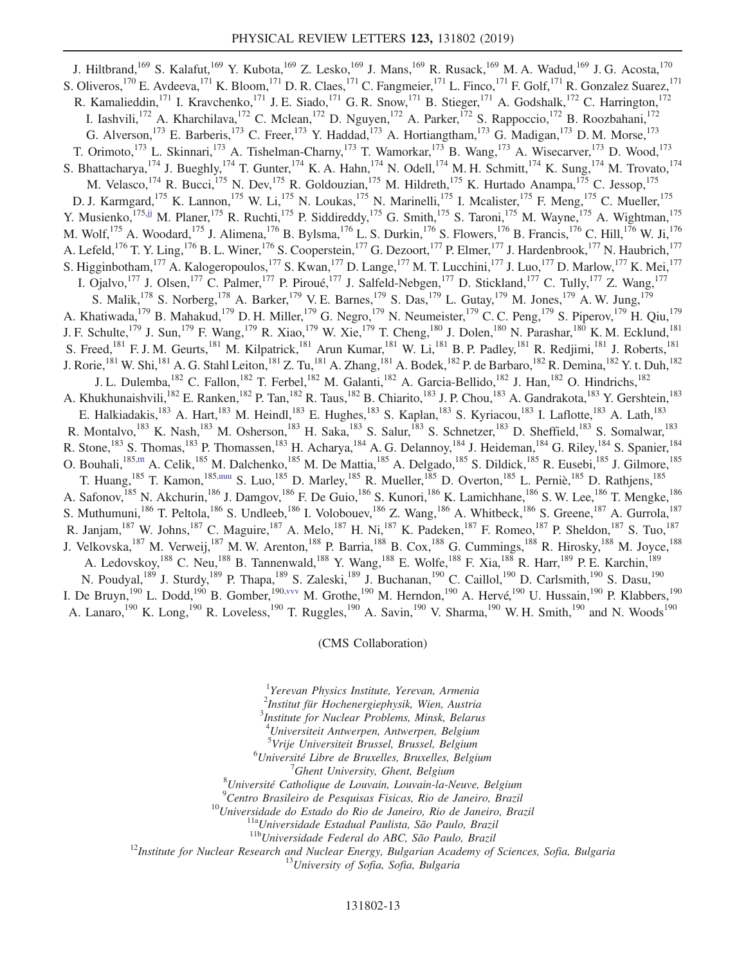J. Hiltbrand,<sup>169</sup> S. Kalafut,<sup>169</sup> Y. Kubota,<sup>169</sup> Z. Lesko,<sup>169</sup> J. Mans,<sup>169</sup> R. Rusack,<sup>169</sup> M. A. Wadud,<sup>169</sup> J. G. Acosta,<sup>170</sup> S. Oliveros,<sup>170</sup> E. Avdeeva,<sup>171</sup> K. Bloom,<sup>171</sup> D. R. Claes,<sup>171</sup> C. Fangmeier,<sup>171</sup> L. Finco,<sup>171</sup> F. Golf,<sup>171</sup> R. Gonzalez Suarez,<sup>171</sup> R. Kamalieddin,<sup>171</sup> I. Kravchenko,<sup>171</sup> J. E. Siado,<sup>171</sup> G. R. Snow,<sup>171</sup> B. Stieger,<sup>171</sup> A. Godshalk,<sup>172</sup> C. Harrington,<sup>172</sup> I. Iashvili,<sup>172</sup> A. Kharchilava,<sup>172</sup> C. Mclean,<sup>172</sup> D. Nguyen,<sup>172</sup> A. Parker,<sup>172</sup> S. Rappoccio,<sup>172</sup> B. Roozbahani,<sup>172</sup> G. Alverson,<sup>173</sup> E. Barberis,<sup>173</sup> C. Freer,<sup>173</sup> Y. Haddad,<sup>173</sup> A. Hortiangtham,<sup>173</sup> G. Madigan,<sup>173</sup> D. M. Morse,<sup>173</sup> T. Orimoto,<sup>173</sup> L. Skinnari,<sup>173</sup> A. Tishelman-Charny,<sup>173</sup> T. Wamorkar,<sup>173</sup> B. Wang,<sup>173</sup> A. Wisecarver,<sup>173</sup> D. Wood,<sup>173</sup> S. Bhattacharya, <sup>174</sup> J. Bueghly, <sup>174</sup> T. Gunter, <sup>174</sup> K. A. Hahn, <sup>174</sup> N. Odell, <sup>174</sup> M. H. Schmitt, <sup>174</sup> K. Sung, <sup>174</sup> M. Trovato, <sup>174</sup> M. Velasco, <sup>174</sup> R. Bucci, <sup>175</sup> N. Dev, <sup>175</sup> R. Goldouzian, <sup>175</sup> M. Hildreth, <sup>175</sup> K. Hurtado Anampa, <sup>175</sup> C. Jessop, <sup>175</sup> D. J. Karmgard,<sup>175</sup> K. Lannon,<sup>175</sup> W. Li,<sup>175</sup> N. Loukas,<sup>175</sup> N. Marinelli,<sup>175</sup> I. Mcalister,<sup>175</sup> F. Meng,<sup>175</sup> C. Mueller,<sup>175</sup> Y. Musienko,<sup>17[5,jj](#page-16-33)</sup> M. Planer,<sup>175</sup> R. Ruchti,<sup>175</sup> P. Siddireddy,<sup>175</sup> G. Smith,<sup>175</sup> S. Taroni,<sup>175</sup> M. Wayne,<sup>175</sup> A. Wightman,<sup>175</sup> M. Wolf,  $^{175}$  A. Woodard,  $^{175}$  J. Alimena,  $^{176}$  B. Bylsma,  $^{176}$  L. S. Durkin,  $^{176}$  S. Flowers,  $^{176}$  B. Francis,  $^{176}$  C. Hill,  $^{176}$  W. Ji,  $^{176}$ A. Lefeld, <sup>176</sup> T. Y. Ling, <sup>176</sup> B. L. Winer, <sup>176</sup> S. Cooperstein, <sup>177</sup> G. Dezoort, <sup>177</sup> P. Elmer, <sup>177</sup> J. Hardenbrook, <sup>177</sup> N. Haubrich, <sup>177</sup> S. Higginbotham, <sup>177</sup> A. Kalogeropoulos, <sup>177</sup> S. Kwan, <sup>177</sup> D. Lange, <sup>177</sup> M. T. Lucchini, <sup>177</sup> J. Luo, <sup>177</sup> D. Marlow, <sup>177</sup> K. Mei, <sup>177</sup> I. Ojalvo,  $^{177}$  J. Olsen,  $^{177}$  C. Palmer,  $^{177}$  P. Piroué,  $^{177}$  J. Salfeld-Nebgen,  $^{177}$  D. Stickland,  $^{177}$  C. Tully,  $^{177}$  Z. Wang,  $^{177}$ S. Malik,<sup>178</sup> S. Norberg,<sup>178</sup> A. Barker,<sup>179</sup> V. E. Barnes,<sup>179</sup> S. Das,<sup>179</sup> L. Gutay,<sup>179</sup> M. Jones,<sup>179</sup> A. W. Jung,<sup>179</sup> A. Khatiwada,<sup>179</sup> B. Mahakud,<sup>179</sup> D. H. Miller,<sup>179</sup> G. Negro,<sup>179</sup> N. Neumeister,<sup>179</sup> C. C. Peng,<sup>179</sup> S. Piperov,<sup>179</sup> H. Qiu,<sup>179</sup> J. F. Schulte,<sup>179</sup> J. Sun,<sup>179</sup> F. Wang,<sup>179</sup> R. Xiao,<sup>179</sup> W. Xie,<sup>179</sup> T. Cheng,<sup>180</sup> J. Dolen,<sup>180</sup> N. Parashar,<sup>180</sup> K. M. Ecklund,<sup>181</sup> S. Freed,<sup>181</sup> F. J. M. Geurts,<sup>181</sup> M. Kilpatrick,<sup>181</sup> Arun Kumar,<sup>181</sup> W. Li,<sup>181</sup> B. P. Padley,<sup>181</sup> R. Redjimi,<sup>181</sup> J. Roberts,<sup>181</sup> J. Rorie,<sup>181</sup> W. Shi,<sup>181</sup> A. G. Stahl Leiton,<sup>181</sup> Z. Tu,<sup>181</sup> A. Zhang,<sup>181</sup> A. Bodek,<sup>182</sup> P. de Barbaro,<sup>182</sup> R. Demina,<sup>182</sup> Y. t. Duh,<sup>182</sup> J. L. Dulemba, <sup>182</sup> C. Fallon, <sup>182</sup> T. Ferbel, <sup>182</sup> M. Galanti, <sup>182</sup> A. Garcia-Bellido, <sup>182</sup> J. Han, <sup>182</sup> O. Hindrichs, <sup>182</sup> A. Khukhunaishvili,<sup>182</sup> E. Ranken,<sup>182</sup> P. Tan,<sup>182</sup> R. Taus,<sup>182</sup> B. Chiarito,<sup>183</sup> J. P. Chou,<sup>183</sup> A. Gandrakota,<sup>183</sup> Y. Gershtein,<sup>183</sup> E. Halkiadakis,<sup>183</sup> A. Hart,<sup>183</sup> M. Heindl,<sup>183</sup> E. Hughes,<sup>183</sup> S. Kaplan,<sup>183</sup> S. Kyriacou,<sup>183</sup> I. Laflotte,<sup>183</sup> A. Lath,<sup>183</sup> R. Montalvo,<sup>183</sup> K. Nash,<sup>183</sup> M. Osherson,<sup>183</sup> H. Saka,<sup>183</sup> S. Salur,<sup>183</sup> S. Schnetzer,<sup>183</sup> D. Sheffield,<sup>183</sup> S. Somalwar,<sup>183</sup> R. Stone,<sup>183</sup> S. Thomas,<sup>183</sup> P. Thomassen,<sup>183</sup> H. Acharya,<sup>184</sup> A. G. Delannoy,<sup>184</sup> J. Heideman,<sup>184</sup> G. Riley,<sup>184</sup> S. Spanier,<sup>184</sup> O. Bouhali, <sup>18[5,ttt](#page-17-31)</sup> A. Celik, <sup>185</sup> M. Dalchenko, <sup>185</sup> M. De Mattia, <sup>185</sup> A. Delgado, <sup>185</sup> S. Dildick, <sup>185</sup> R. Eusebi, <sup>185</sup> J. Gilmore, <sup>185</sup> T. Huang, <sup>185</sup> T. Kamon, <sup>185[,uuu](#page-17-32)</sup> S. Luo, <sup>185</sup> D. Marley, <sup>185</sup> R. Mueller, <sup>185</sup> D. Overton, <sup>185</sup> L. Perniè, <sup>185</sup> D. Rathjens, <sup>185</sup> A. Safonov, <sup>185</sup> N. Akchurin, <sup>186</sup> J. Damgov, <sup>186</sup> F. De Guio, <sup>186</sup> S. Kunori, <sup>186</sup> K. Lamichhane, <sup>186</sup> S. W. Lee, <sup>186</sup> T. Mengke, <sup>186</sup> S. Muthumuni,<sup>186</sup> T. Peltola,<sup>186</sup> S. Undleeb,<sup>186</sup> I. Volobouev,<sup>186</sup> Z. Wang,<sup>186</sup> A. Whitbeck,<sup>186</sup> S. Greene,<sup>187</sup> A. Gurrola,<sup>187</sup> R. Janjam,<sup>187</sup> W. Johns,<sup>187</sup> C. Maguire,<sup>187</sup> A. Melo,<sup>187</sup> H. Ni,<sup>187</sup> K. Padeken,<sup>187</sup> F. Romeo,<sup>187</sup> P. Sheldon,<sup>187</sup> S. Tuo,<sup>187</sup> J. Velkovska,<sup>187</sup> M. Verweij,<sup>187</sup> M. W. Arenton,<sup>188</sup> P. Barria,<sup>188</sup> B. Cox,<sup>188</sup> G. Cummings,<sup>188</sup> R. Hirosky,<sup>188</sup> M. Joyce,<sup>188</sup> A. Ledovskoy,<sup>188</sup> C. Neu,<sup>188</sup> B. Tannenwald,<sup>188</sup> Y. Wang,<sup>188</sup> E. Wolfe,<sup>188</sup> F. Xia,<sup>188</sup> R. Harr,<sup>189</sup> P. E. Karchin,<sup>189</sup> N. Poudyal,<sup>189</sup> J. Sturdy,<sup>189</sup> P. Thapa,<sup>189</sup> S. Zaleski,<sup>189</sup> J. Buchanan,<sup>190</sup> C. Caillol,<sup>190</sup> D. Carlsmith,<sup>190</sup> S. Dasu,<sup>190</sup> I. De Bruyn,<sup>190</sup> L. Dodd,<sup>190</sup> B. Gomber,<sup>190, vvv</sup> M. Grothe,<sup>190</sup> M. Herndon,<sup>190</sup> A. Hervé,<sup>190</sup> U. Hussain,<sup>190</sup> P. Klabbers,<sup>190</sup> A. Lanaro,<sup>190</sup> K. Long,<sup>190</sup> R. Loveless,<sup>190</sup> T. Ruggles,<sup>190</sup> A. Savin,<sup>190</sup> V. Sharma,<sup>190</sup> W. H. Smith,<sup>190</sup> and N. Woods<sup>190</sup>

## (CMS Collaboration)

<span id="page-12-1"></span><span id="page-12-0"></span><sup>1</sup>Yerevan Physics Institute, Yerevan, Armenia

<span id="page-12-2"></span>2 Institut für Hochenergiephysik, Wien, Austria

3 Institute for Nuclear Problems, Minsk, Belarus

<sup>4</sup>Universiteit Antwerpen, Antwerpen, Belgium

<sup>5</sup>Vrije Universiteit Brussel, Brussel, Belgium<br><sup>6</sup>Université Libre de Bruxelles, Bruxelles, Belgium

 ${}^{6}$ Université Libre de Bruxelles, Bruxelles, Belgium

 $^7$ Ghent University, Ghent, Belgium

 ${}^8$ Université Catholique de Louvain, Louvain-la-Neuve, Belgium  ${}^9$ Centro Brasileiro de Pesquisas Fisicas, Rio de Janeiro, Brazil

<sup>10</sup>Universidade do Estado do Rio de Janeiro, Rio de Janeiro, Brazil<br><sup>11a</sup>Universidade Estadual Paulista, São Paulo, Brazil<br><sup>11b</sup>Universidade Federal do ABC, São Paulo, Brazil<br><sup>12</sup>Institute for Nuclear Research and Nuclea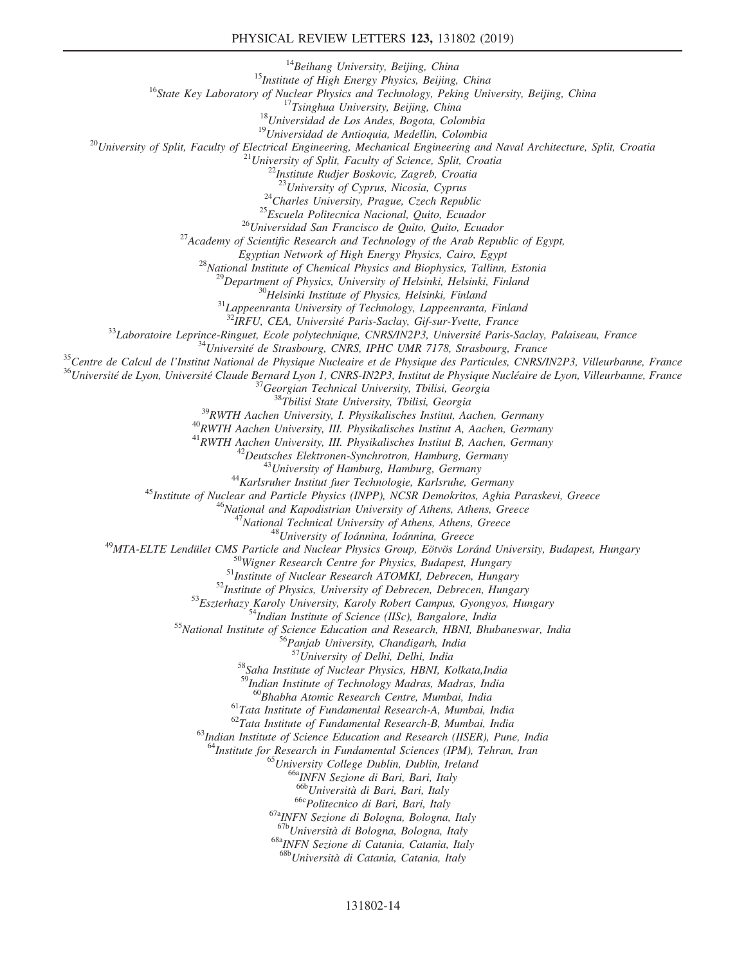## PHYSICAL REVIEW LETTERS 123, 131802 (2019)

<sup>14</sup>Beihang University, Beijing, China<br><sup>15</sup>Institute of High Energy Physics, Beijing, China<br><sup>16</sup>State Key Laboratory of Nuclear Physics and Technology, Peking University, Beijing, China<br><sup>17</sup>Tsinghua University, Beijing, C

<sup>24</sup>Charles University, Prague, Czech Republic<br><sup>25</sup>Escuela Politecnica Nacional, Quito, Ecuador<br><sup>26</sup>Universidad San Francisco de Quito, Quito, Ecuador<br><sup>27</sup>Academy of Scientific Research and Technology of the Arab Republic

Egyptian Network of High Energy Physics, Cairo, Egypt<br><sup>28</sup>National Institute of Chemical Physics and Biophysics, Tallinn, Estonia<br><sup>29</sup>Department of Physics, University of Helsinki, Helsinki, Finland<br><sup>30</sup>Helsinki Institute

<sup>32</sup>IRFU, CEA, Universit´e Paris-Saclay, Gif-sur-Yvette, France <sup>33</sup>Laboratoire Leprince-Ringuet, Ecole polytechnique, CNRS/IN2P3, Universit´e Paris-Saclay, Palaiseau, France <sup>34</sup>Universit´e de Strasbourg, CNRS, IPHC UMR 7178, Strasbourg, France <sup>35</sup>Centre de Calcul de l'Institut National de Physique Nucleaire et de Physique des Particules, CNRS/IN2P3, Villeurbanne, France <sup>36</sup>Universit´e de Lyon, Universit´e Claude Bernard Lyon 1, CNRS-IN2P3, Institut de Physique Nucl´eaire de Lyon, Villeurbanne, France <sup>37</sup>Georgian Technical University, Tbilisi, Georgia <sup>38</sup>Tbilisi State University, Tbilisi, Georgia <sup>39</sup>RWTH Aachen University, I. Physikalisches Institut, Aachen, Germany <sup>40</sup>RWTH Aachen University, III. Physikalisches Institut A, Aachen, Germany

 $\begin{array}{c} ^{42} Deutsches Elektronen-Syrlnrotron, Hamburg, Germany \\ ^{43} University of Hamburg, Hamburg, Germany \\ ^{44} Karlsrulerer Institute for Nuclear and Particle Physics (INPP), NCSR Demokritos, Aghia Paraskevi, Greece \\ ^{45} National and Kapodistrian University of Athens, Athenes, Greece \\ ^{46} National and Kapodistrian University of Athens, Athens, Greece \\ ^{48} National Technical University of Athens, Athens, Greece \\ ^{48} University of floating, Giennina, Green, Abhens, Greece \\ ^{49} MTA-ELTE Lendillet CMS Paricle and Nuclear Physics Group, Eörvös Loránd University, Budapest, Hungary \\ ^{49} MTA-ELTE Lendillet CMS Paricle and Nuclear Physics Group, Eö$ 

58 Saha Institute of Nuclear Physics, HBNI, Kolkata,India

<sup>59</sup>Indian Institute of Technology Madras, Madras, India<br><sup>60</sup>Bhabha Atomic Research Centre, Mumbai, India

<sup>61</sup>Tata Institute of Fundamental Research-A, Mumbai, India  $^{62}$ Tata Institute of Fundamental Research-B, Mumbai, India

 $^{63}$ Indian Institute of Science Education and Research (IISER), Pune, India

<sup>64</sup>Institute for Research in Fundamental Sciences (IPM), Tehran, Iran <sup>65</sup>University College Dublin, Dublin, Ireland <sup>66a</sup>INFN Sezione di Bari, Bari, Italy <sup>66b</sup>Università di Bari, Bari, Italy

<sup>66c</sup>Politecnico di Bari, Bari, Italy<br><sup>67a</sup>INFN Sezione di Bologna, Bologna, Italy <sup>67b</sup>Università di Bologna, Bologna, Italy

<sup>68a</sup>INFN Sezione di Catania, Catania, Italy

<sup>68b</sup>Università di Catania, Catania, Italy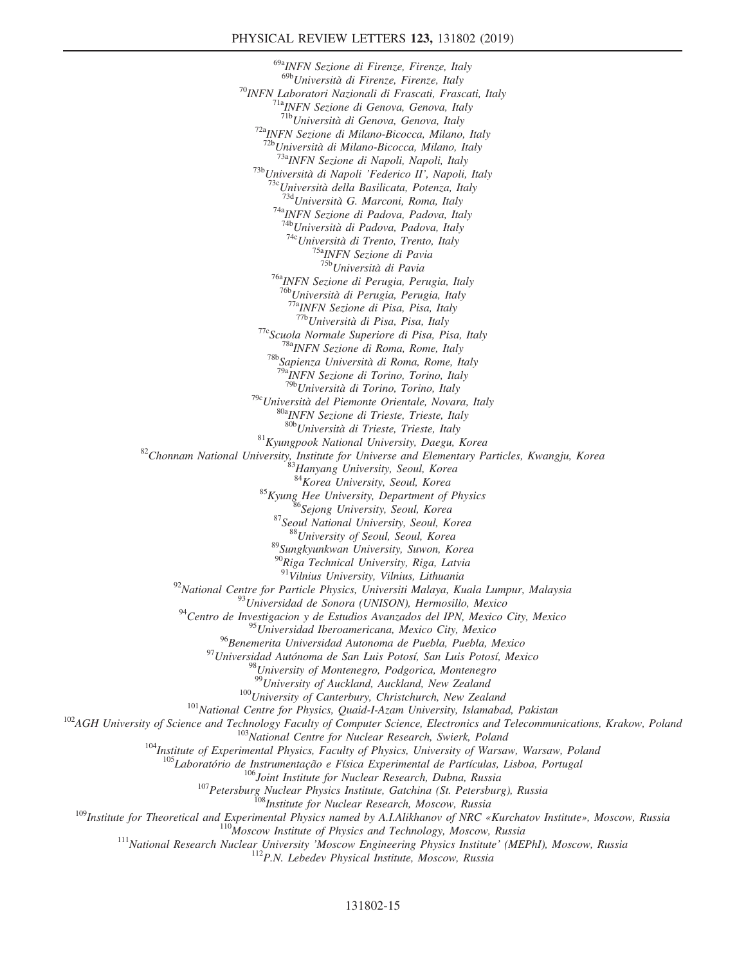$^{69a}$ INFN Sezione di Firenze, Firenze, Italy<br> $^{69b}$ Università di Firenze, Firenze, Italy <sup>70</sup>INFN Laboratori Nazionali di Frascati, Frascati, Italy <sup>71a</sup>INFN Sezione di Genova, Genova, Italy <sup>71b</sup>Università di Genova, Genova, Italy <sup>72a</sup>INFN Sezione di Milano-Bicocca, Milano, Italy  $^{72b}$ Università di Milano-Bicocca, Milano, Italy <sup>73a</sup>INFN Sezione di Napoli, Napoli, Italy<br><sup>73b</sup>Università di Napoli 'Federico II', Napoli, Italy<br><sup>73</sup><sup>c</sup>Università della Basilicata, Potenza, Italy<br><sup>734</sup>Università G. Marconi, Roma, Italy<br><sup>74</sup>aINFN Sezione di Padova, Pad <sup>74c</sup>Università di Trento, Trento, Italy<br><sup>75a</sup>INFN Sezione di Pavia<br><sup>75b</sup>Università di Pavia <sup>76a</sup>INFN Sezione di Perugia, Perugia, Italy<br><sup>76b</sup>Università di Perugia, Perugia, Italy  $\frac{77a}{17a}$  INFN Sezione di Pisa, Pisa, Italy  $\frac{77b}{17b}$ Università di Pisa, Pisa, Italy <sup>77c</sup>Scuola Normale Superiore di Pisa, Pisa, Italy <sup>78a</sup>INFN Sezione di Roma, Rome, Italy <sup>78b</sup>Sapienza Università di Roma, Rome, Italy <sup>79a</sup>INFN Sezione di Torino, Torino, Italy <sup>79b</sup>Università di Torino, Torino, Italy <sup>79c</sup>Università del Piemonte Orientale, Novara, Italy  $^{80a}$ INFN Sezione di Trieste, Trieste, Italy  $^{80b}$ Università di Trieste, Trieste, Italy  $^{81}$ Kyungpook National University, Daegu, Korea  $^{82}$ Chonnam National University, Institute for Universe and Elementary Particles, Kwangju, Korea  $^{83}$ Hanyang University, Seoul, Korea 83Hanyang University, Seoul, Kore <sup>85</sup>Kyung Hee University, Department of Physics<br><sup>86</sup>Sejong University, Seoul, Korea <sup>87</sup>Seoul National University, Seoul, Korea <sup>88</sup>University of Seoul, Seoul, Korea <sup>89</sup>Sungkyunkwan University, Suwon, Korea <sup>90</sup>Riga Technical University, Riga, Latvia<br><sup>91</sup>Vilnius University, Vilnius, Lithuania <sup>92</sup>National Centre for Particle Physics, Universiti Malaya, Kuala Lumpur, Malaysia<br><sup>93</sup>Universidad de Sonora (UNISON), Hermosillo, Mexico<br><sup>94</sup>Centro de Investigacion y de Estudios Avanzados del IPN, Mexico City, Mexico  $^{95}$ Universidad Iberoamericana, Mexico City, Mexico<br><sup>96</sup>Benemerita Universidad Autonoma de Puebla, Puebla, Mexico <sup>97</sup>Universidad Autónoma de San Luis Potosí, San Luis Potosí, Mexico <sup>98</sup>University of Montenegro, Podgorica, Montenegro<br><sup>98</sup>University of Auckland, Auckland, New Zealand <sup>100</sup>University of Canterbury, Christchurch, New Zealand<br><sup>101</sup>National Centre for Physics, Quaid-I-Azam University, Islamabad, Pakistan<br><sup>102</sup>AGH University of Science and Technology Faculty of Computer Science, Electronic <sup>106</sup>Joint Institute for Nuclear Research, Dubna, Russia<br><sup>109</sup>Institute for Theoretical and Experimental Physics Institute, Gatchina (St. Petersburg), Russia<br><sup>108</sup>Institute for Theoretical and Experimental Physics named by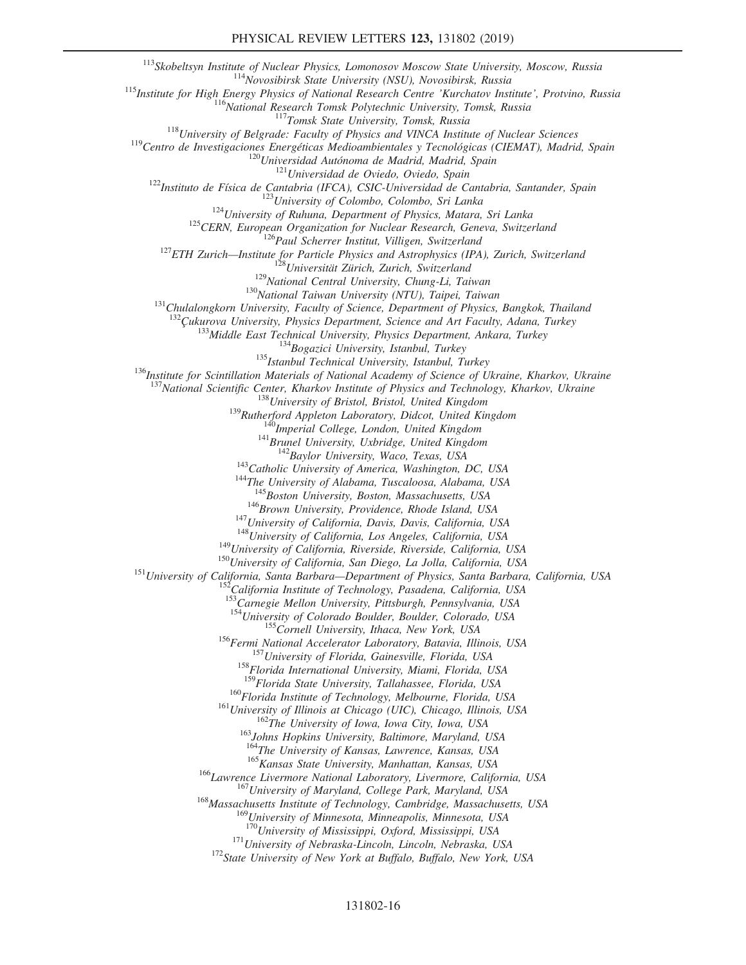<sup>113</sup>Skobeltsyn Institute of Nuclear Physics, Lomonosov Moscow State University, Moscow, Russia<br>
<sup>113</sup>Yavosibirsk, State University (NSU), Novosibirsk, Russia<br>
<sup>113</sup>Institute for High Energy Physics of National Research C <sup>133</sup>Middle East Technical University, Physics Department, Ankara, Turkey<br><sup>134</sup>Bogazici University, Istanbul, Turkey<br><sup>135</sup>Istanbul Technical University, Istanbul, Turkey<br><sup>136</sup>Institute for Scintillation Materials of Natio <sup>137</sup>National Scientific Center, Kharkov Institute of Physics and Technology, Kharkov, Ukraine<br><sup>138</sup>University of Bristol, Bristol, United Kingdom<br><sup>139</sup>Rutherford Appleton Laboratory, Didcot, United Kingdom<br><sup>140</sup>Imperial <sup>146</sup>Brown University, Providence, Rhode Island, USA<br><sup>147</sup>University of California, Davis, Davis, California, USA<br><sup>148</sup>University of California, Los Angeles, California, USA<br><sup>149</sup>University of California, Riverside, Rivers 153<br>Carnegie Mellon University, Pittsburgh, Pennsylvania, USA<br><sup>154</sup>University of Colorado Boulder, Boulder, Colorado, USA <sup>155</sup>Cornell University, Ithaca, New York, USA<br><sup>156</sup>Fermi National Accelerator Laboratory, Batavia, Illinois, USA<br><sup>157</sup>University of Florida, Gainesville, Florida, USA<br><sup>158</sup>Florida International University, Miami, Florida <sup>160</sup>Florida Institute of Technology, Melbourne, Florida, USA<br><sup>161</sup>University of Illinois at Chicago (UIC), Chicago, Illinois, USA<br><sup>162</sup>The University of Iowa, Iowa City, Iowa, USA<br><sup>163</sup>Johns Hopkins University, Baltimore <sup>165</sup> Kansas State University, Manhattan, Kansas, USA<br><sup>166</sup> Lawrence Livermore National Laboratory, Livermore, California, USA<br><sup>167</sup> University of Maryland, College Park, Maryland, USA<br><sup>168</sup> Massachusetts Institute of Tec <sup>169</sup>University of Minnesota, Minneapolis, Minnesota, USA<br><sup>170</sup>University of Mississippi, Oxford, Mississippi, USA  $171$ University of Nebraska-Lincoln, Lincoln, Nebraska, USA  $172$ State University of New York at Buffalo, Buffalo, New York, USA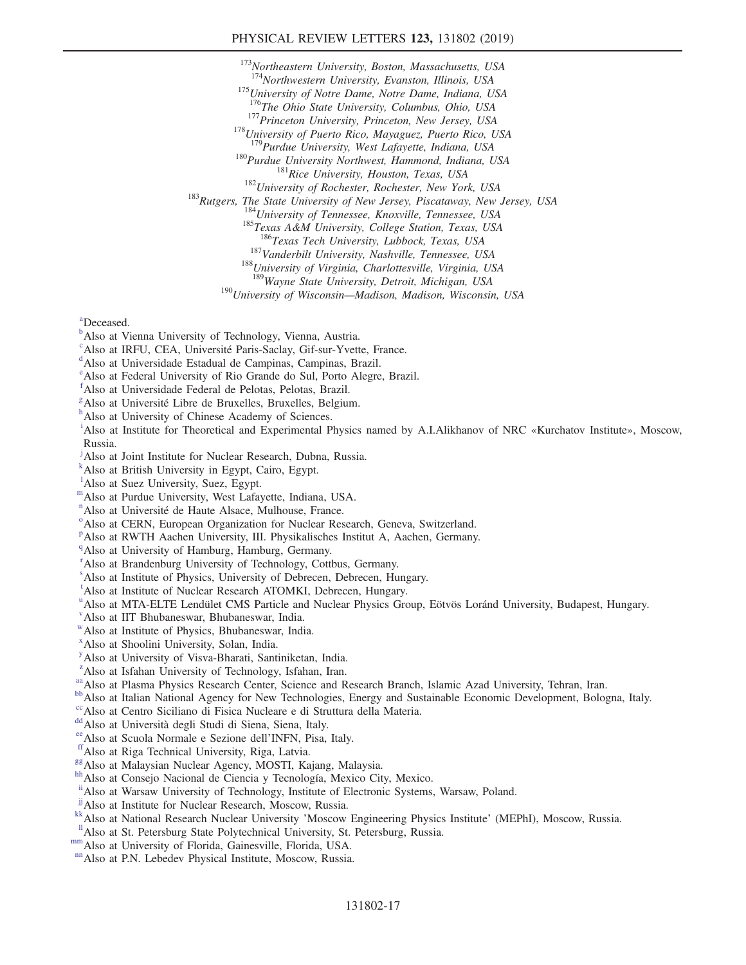## PHYSICAL REVIEW LETTERS 123, 131802 (2019)

<sup>173</sup>Northeastern University, Boston, Massachusetts, USA<br><sup>174</sup>Northwestern University, Evanston, Illinois, USA <sup>175</sup>University of Notre Dame, Notre Dame, Indiana, USA  $^{176}$ The Ohio State University, Columbus, Ohio, USA <sup>177</sup>Princeton University, Princeton, New Jersey, USA <sup>178</sup>University of Puerto Rico, Mayaguez, Puerto Rico, USA <sup>179</sup>Purdue University, West Lafayette, Indiana, USA <sup>180</sup>Purdue University Northwest, Hammond, Indiana, USA<br><sup>181</sup>Rice University, Houston, Texas, USA<br><sup>182</sup>University of Rochester, Rochester, New York, USA<br><sup>183</sup>Rutgers, The State University of New Jersey, Piscataway, New Je <sup>187</sup>Vanderbilt University, Nashville, Tennessee, USA <sup>188</sup>University of Virginia, Charlottesville, Virginia, USA <sup>189</sup>Wayne State University, Detroit, Michigan, USA <sup>190</sup>University of Wisconsin—Madison, Madison, Wisconsin, USA

<span id="page-16-0"></span>[a](#page-6-9) Deceased.

- <span id="page-16-1"></span><sup>[b](#page-6-10)</sup>Also at Vienna University of Technology, Vienna, Austria.
- <span id="page-16-2"></span><sup>[c](#page-6-11)</sup>Also at IRFU, CEA, Université Paris-Saclay, Gif-sur-Yvette, France.
- <span id="page-16-3"></span>Also at Universidade Estadual de Campinas, Campinas, Brazil.
- <span id="page-16-4"></span>[e](#page-6-13) Also at Federal University of Rio Grande do Sul, Porto Alegre, Brazil.
- <span id="page-16-5"></span>[f](#page-6-14) Also at Universidade Federal de Pelotas, Pelotas, Brazil.
- <span id="page-16-6"></span> $\frac{g}{h}$  $\frac{g}{h}$  $\frac{g}{h}$  $\frac{g}{h}$  $\frac{g}{h}$ Also at Université Libre de Bruxelles, Bruxelles, Belgium.
- <span id="page-16-7"></span><sup>h</sup>Also at University of Chinese Academy of Sciences.
- <span id="page-16-8"></span><sup>[i](#page-6-17)</sup>Also at Institute for Theoretical and Experimental Physics named by A.I.Alikhanov of NRC «Kurchatov Institute», Moscow, Russia.
- <span id="page-16-9"></span><sup>[j](#page-7-0)</sup>Also at Joint Institute for Nuclear Research, Dubna, Russia.
- <span id="page-16-10"></span>[k](#page-7-1) Also at British University in Egypt, Cairo, Egypt.
- <sup>1</sup>Also at Suez University, Suez, Egypt.
- <span id="page-16-11"></span>[m](#page-7-2)Also at Purdue University, West Lafayette, Indiana, USA.
- <span id="page-16-12"></span><sup>[n](#page-7-3)</sup> Als[o](#page-7-4) at Université de Haute Alsace, Mulhouse, France.
- <span id="page-16-13"></span><sup>o</sup> Also at CERN, European Organization for Nuclear Research, Geneva, Switzerland.
- <span id="page-16-14"></span><su[p](#page-7-5)>p</sup>Also at RWTH Aachen University, III. Physikalisches Institut A, Aachen, Germany.
- <span id="page-16-15"></span><sup>[q](#page-7-6)</sup>Also at University of Hamburg, Hamburg, Germany.
- <span id="page-16-16"></span><sup>[r](#page-7-7)</sup> Also at Brandenburg University of Technology, Cottbus, Germany.
- <span id="page-16-17"></span>[s](#page-7-8) Also at Institute of Physics, University of Debrecen, Debrecen, Hungary.
- <span id="page-16-18"></span><sup>[t](#page-7-9)</sup>Also at Institute of Nuclear Research ATOMKI, Debrecen, Hungary.
- <sup>u</sup>Also at MTA-ELTE Lendület CMS Particle and Nuclear Physics Group, Eötvös Loránd University, Budapest, Hungary.
- <span id="page-16-19"></span>[v](#page-8-0) Also at IIT Bhubaneswar, Bhubaneswar, India.
- <span id="page-16-20"></span>[w](#page-8-0)Also at Institute of Physics, Bhubaneswar, India.
- <span id="page-16-21"></span>[x](#page-8-1) Also at Shoolini University, Solan, India.
- <span id="page-16-22"></span>[y](#page-8-2) Also at University of Visva-Bharati, Santiniketan, India.
- <span id="page-16-23"></span><sup>[z](#page-8-3)</sup>Also at Isfahan University of Technology, Isfahan, Iran.
- <span id="page-16-25"></span>
- <span id="page-16-24"></span>a Also at Plasma Physics Research Center, Science and Research Branch, Islamic Azad University, Tehran, Iran.<br>[bb](#page-8-5) Also at Italian National Agency for New Technologies, Energy and Sustainable Economic Development, Bologna, I
- <span id="page-16-26"></span>
- <span id="page-16-28"></span>
- <span id="page-16-29"></span>
- <span id="page-16-30"></span>
- <span id="page-16-31"></span>
- <span id="page-16-27"></span>[dd](#page-8-7) Also at Università degli Studi di Siena, Siena, Italy.<br>
<sup>[ee](#page-8-8)</sup> Also at Scuola Normale e Sezione dell'INFN, Pisa, Italy.<br>
<sup>[ff](#page-9-0)</sup> Also at Riga Technical University, Riga, Latvia.<br>
<sup>[gg](#page-9-1)</sup> Also at Malaysian Nuclear Agency, MOSTI,
- <span id="page-16-32"></span>[ii](#page-9-3) Also at Warsaw University of Technology, Institute of Electronic Systems, Warsaw, Poland.<br>
<sup>jj</sup> Also at Institute for Nuclear Research, Moscow, Russia.
- <span id="page-16-33"></span>
- <span id="page-16-37"></span>Also at National Research Nuclear University 'Moscow Engineering Physics Institute' (MEPhI), Moscow, Russia.<br>
<sup>II</sup> Also at St. Petersburg State Polytechnical University, St. Petersburg, Russia.<br>
<sup>[mm](#page-9-7)</sup>Also at University of F
- <span id="page-16-35"></span><span id="page-16-34"></span>
- <span id="page-16-36"></span>
-